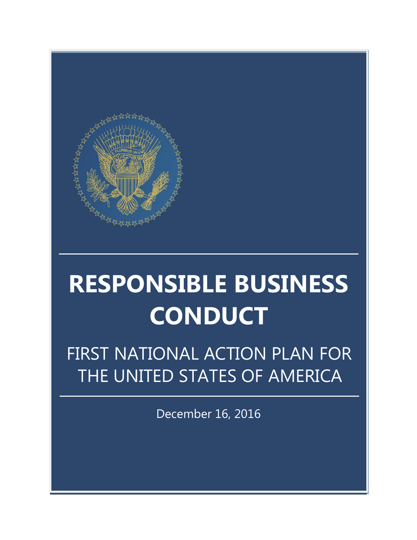

# **RESPONSIBLE BUSINESS CONDUCT**

FIRST NATIONAL ACTION PLAN FOR THE UNITED STATES OF AMERICA

December 16, 2016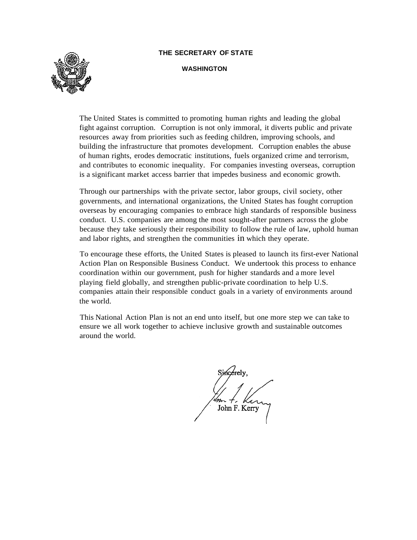#### **THE SECRETARY OF STATE**



#### **WASHINGTON**

The United States is committed to promoting human rights and leading the global fight against corruption. Corruption is not only immoral, it diverts public and private resources away from priorities such as feeding children, improving schools, and building the infrastructure that promotes development. Corruption enables the abuse of human rights, erodes democratic institutions, fuels organized crime and terrorism, and contributes to economic inequality. For companies investing overseas, corruption is a significant market access barrier that impedes business and economic growth.

Through our partnerships with the private sector, labor groups, civil society, other governments, and international organizations, the United States has fought corruption overseas by encouraging companies to embrace high standards of responsible business conduct. U.S. companies are among the most sought-after partners across the globe because they take seriously their responsibility to follow the rule of law, uphold human and labor rights, and strengthen the communities in which they operate.

To encourage these efforts, the United States is pleased to launch its first-ever National Action Plan on Responsible Business Conduct. We undertook this process to enhance coordination within our government, push for higher standards and a more level playing field globally, and strengthen public-private coordination to help U.S. companies attain their responsible conduct goals in a variety of environments around the world.

This National Action Plan is not an end unto itself, but one more step we can take to ensure we all work together to achieve inclusive growth and sustainable outcomes around the world.

John F. Kerry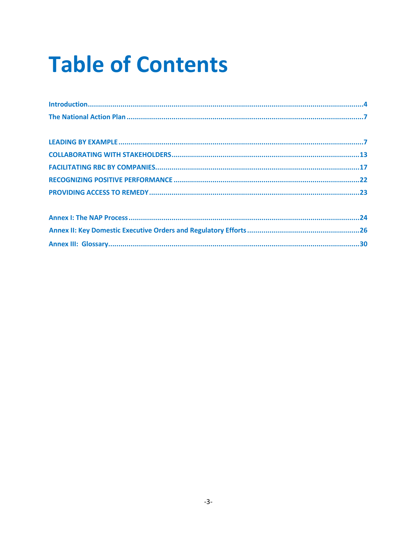# **Table of Contents**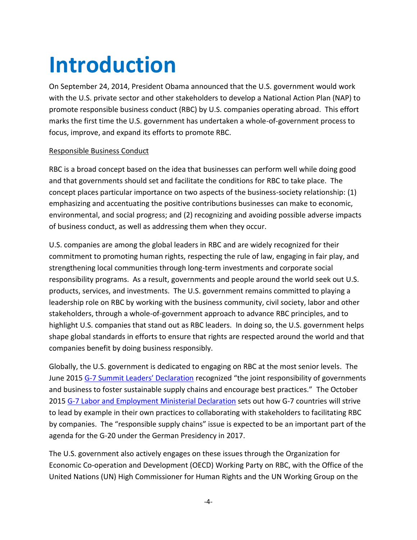## <span id="page-3-0"></span>**Introduction**

On September 24, 2014, President Obama announced that the U.S. government would work with the U.S. private sector and other stakeholders to develop a National Action Plan (NAP) to promote responsible business conduct (RBC) by U.S. companies operating abroad. This effort marks the first time the U.S. government has undertaken a whole-of-government process to focus, improve, and expand its efforts to promote RBC.

### Responsible Business Conduct

RBC is a broad concept based on the idea that businesses can perform well while doing good and that governments should set and facilitate the conditions for RBC to take place. The concept places particular importance on two aspects of the business-society relationship: (1) emphasizing and accentuating the positive contributions businesses can make to economic, environmental, and social progress; and (2) recognizing and avoiding possible adverse impacts of business conduct, as well as addressing them when they occur.

U.S. companies are among the global leaders in RBC and are widely recognized for their commitment to promoting human rights, respecting the rule of law, engaging in fair play, and strengthening local communities through long-term investments and corporate social responsibility programs. As a result, governments and people around the world seek out U.S. products, services, and investments. The U.S. government remains committed to playing a leadership role on RBC by working with the business community, civil society, labor and other stakeholders, through a whole-of-government approach to advance RBC principles, and to highlight U.S. companies that stand out as RBC leaders. In doing so, the U.S. government helps shape global standards in efforts to ensure that rights are respected around the world and that companies benefit by doing business responsibly.

Globally, the U.S. government is dedicated to engaging on RBC at the most senior levels. The June 2015 G-[7 Summit Leaders' Declaration](https://www.whitehouse.gov/the-press-office/2015/06/08/g-7-leaders-declaration) recognized "the joint responsibility of governments and business to foster sustainable supply chains and encourage best practices." The October 2015 [G-7 Labor and Employment Ministerial Declaration](http://www.bmz.de/g7/includes/Downloadarchiv/G7_Ministerial_Declaration_Action_for_Fair_Production.pdf) sets out how G-7 countries will strive to lead by example in their own practices to collaborating with stakeholders to facilitating RBC by companies. The "responsible supply chains" issue is expected to be an important part of the agenda for the G-20 under the German Presidency in 2017.

The U.S. government also actively engages on these issues through the Organization for Economic Co-operation and Development (OECD) Working Party on RBC, with the Office of the United Nations (UN) High Commissioner for Human Rights and the UN Working Group on the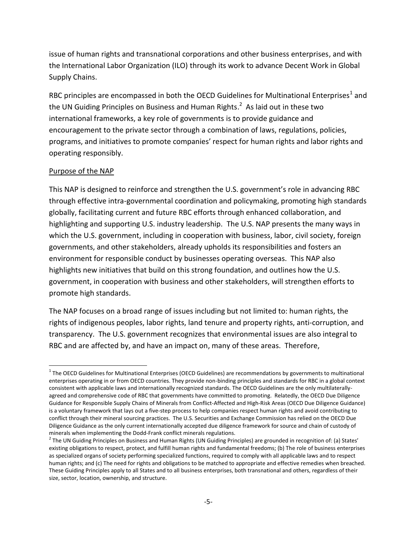issue of human rights and transnational corporations and other business enterprises, and with the International Labor Organization (ILO) through its work to advance Decent Work in Global Supply Chains.

RBC principles are encompassed in both the OECD Guidelines for Multinational Enterprises<sup>1</sup> and the UN Guiding Principles on Business and Human Rights.<sup>2</sup> As laid out in these two international frameworks, a key role of governments is to provide guidance and encouragement to the private sector through a combination of laws, regulations, policies, programs, and initiatives to promote companies' respect for human rights and labor rights and operating responsibly.

### Purpose of the NAP

 $\overline{a}$ 

This NAP is designed to reinforce and strengthen the U.S. government's role in advancing RBC through effective intra-governmental coordination and policymaking, promoting high standards globally, facilitating current and future RBC efforts through enhanced collaboration, and highlighting and supporting U.S. industry leadership. The U.S. NAP presents the many ways in which the U.S. government, including in cooperation with business, labor, civil society, foreign governments, and other stakeholders, already upholds its responsibilities and fosters an environment for responsible conduct by businesses operating overseas. This NAP also highlights new initiatives that build on this strong foundation, and outlines how the U.S. government, in cooperation with business and other stakeholders, will strengthen efforts to promote high standards.

The NAP focuses on a broad range of issues including but not limited to: human rights, the rights of indigenous peoples, labor rights, land tenure and property rights, anti-corruption, and transparency. The U.S. government recognizes that environmental issues are also integral to RBC and are affected by, and have an impact on, many of these areas. Therefore,

 $1$  The OECD Guidelines for Multinational Enterprises (OECD Guidelines) are recommendations by governments to multinational enterprises operating in or from OECD countries. They provide non-binding principles and standards for RBC in a global context consistent with applicable laws and internationally recognized standards. The OECD Guidelines are the only multilaterallyagreed and comprehensive code of RBC that governments have committed to promoting. Relatedly, the OECD Due Diligence Guidance for Responsible Supply Chains of Minerals from Conflict-Affected and High-Risk Areas (OECD Due Diligence Guidance) is a voluntary framework that lays out a five-step process to help companies respect human rights and avoid contributing to conflict through their mineral sourcing practices. The U.S. Securities and Exchange Commission has relied on the OECD Due Diligence Guidance as the only current internationally accepted due diligence framework for source and chain of custody of minerals when implementing the Dodd-Frank conflict minerals regulations.

 $^2$  The UN Guiding Principles on Business and Human Rights (UN Guiding Principles) are grounded in recognition of: (a) States' existing obligations to respect, protect, and fulfill human rights and fundamental freedoms; (b) The role of business enterprises as specialized organs of society performing specialized functions, required to comply with all applicable laws and to respect human rights; and (c) The need for rights and obligations to be matched to appropriate and effective remedies when breached. These Guiding Principles apply to all States and to all business enterprises, both transnational and others, regardless of their size, sector, location, ownership, and structure.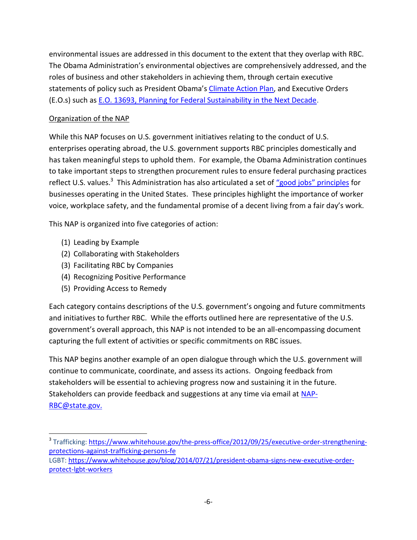environmental issues are addressed in this document to the extent that they overlap with RBC. The Obama Administration's environmental objectives are comprehensively addressed, and the roles of business and other stakeholders in achieving them, through certain executive statements of policy such as President Obama's *Climate Action Plan*, and Executive Orders (E.O.s) such as E.O. 13693, [Planning for Federal Sustainability in the Next Decade.](https://www.whitehouse.gov/the-press-office/2015/03/19/executive-order-planning-federal-sustainability-next-decade)

### Organization of the NAP

While this NAP focuses on U.S. government initiatives relating to the conduct of U.S. enterprises operating abroad, the U.S. government supports RBC principles domestically and has taken meaningful steps to uphold them. For example, the Obama Administration continues to take important steps to strengthen procurement rules to ensure federal purchasing practices reflect U.S. values.<sup>3</sup> This Administration has also articulated a set of ["good jobs" principl](https://www.whitehouse.gov/the-press-office/2015/10/07/remarks-president-white-house-summit-worker-voice)es for businesses operating in the United States. These principles highlight the importance of worker voice, workplace safety, and the fundamental promise of a decent living from a fair day's work.

This NAP is organized into five categories of action:

(1) Leading by Example

 $\overline{\phantom{a}}$ 

- (2) Collaborating with Stakeholders
- (3) Facilitating RBC by Companies
- (4) Recognizing Positive Performance
- (5) Providing Access to Remedy

Each category contains descriptions of the U.S. government's ongoing and future commitments and initiatives to further RBC. While the efforts outlined here are representative of the U.S. government's overall approach, this NAP is not intended to be an all-encompassing document capturing the full extent of activities or specific commitments on RBC issues.

This NAP begins another example of an open dialogue through which the U.S. government will continue to communicate, coordinate, and assess its actions. Ongoing feedback from stakeholders will be essential to achieving progress now and sustaining it in the future. Stakeholders can provide feedback and suggestions at any time via email at [NAP-](mailto:NAP-RBC@state.gov)[RBC@state.gov.](mailto:NAP-RBC@state.gov)

<sup>&</sup>lt;sup>3</sup> Trafficking: <u>https://www.whitehouse.gov/the-press-office/2012/09/25/executive-order-strengthening-</u> [protections-against-trafficking-persons-fe](https://www.whitehouse.gov/the-press-office/2012/09/25/executive-order-strengthening-protections-against-trafficking-persons-fe)

LGBT: [https://www.whitehouse.gov/blog/2014/07/21/president-obama-signs-new-executive-order](https://www.whitehouse.gov/blog/2014/07/21/president-obama-signs-new-executive-order-protect-lgbt-workers)[protect-lgbt-workers](https://www.whitehouse.gov/blog/2014/07/21/president-obama-signs-new-executive-order-protect-lgbt-workers)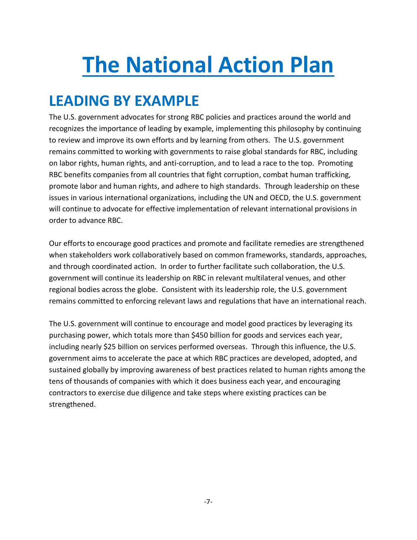# <span id="page-6-0"></span>**The National Action Plan**

### <span id="page-6-1"></span>**LEADING BY EXAMPLE**

The U.S. government advocates for strong RBC policies and practices around the world and recognizes the importance of leading by example, implementing this philosophy by continuing to review and improve its own efforts and by learning from others. The U.S. government remains committed to working with governments to raise global standards for RBC, including on labor rights, human rights, and anti-corruption, and to lead a race to the top. Promoting RBC benefits companies from all countries that fight corruption, combat human trafficking, promote labor and human rights, and adhere to high standards. Through leadership on these issues in various international organizations, including the UN and OECD, the U.S. government will continue to advocate for effective implementation of relevant international provisions in order to advance RBC.

Our efforts to encourage good practices and promote and facilitate remedies are strengthened when stakeholders work collaboratively based on common frameworks, standards, approaches, and through coordinated action. In order to further facilitate such collaboration, the U.S. government will continue its leadership on RBC in relevant multilateral venues, and other regional bodies across the globe. Consistent with its leadership role, the U.S. government remains committed to enforcing relevant laws and regulations that have an international reach.

The U.S. government will continue to encourage and model good practices by leveraging its purchasing power, which totals more than \$450 billion for goods and services each year, including nearly \$25 billion on services performed overseas. Through this influence, the U.S. government aims to accelerate the pace at which RBC practices are developed, adopted, and sustained globally by improving awareness of best practices related to human rights among the tens of thousands of companies with which it does business each year, and encouraging contractors to exercise due diligence and take steps where existing practices can be strengthened.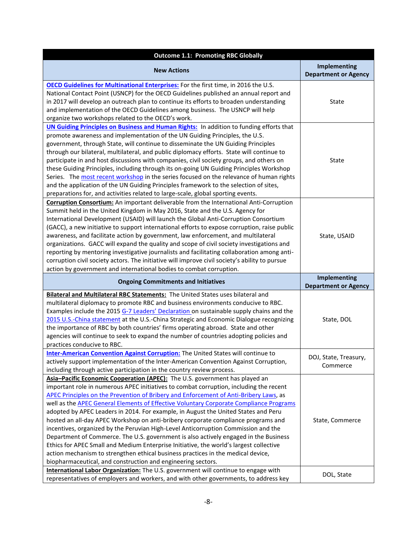| <b>Outcome 1.1: Promoting RBC Globally</b>                                                                                                                                                                                                                                                                                                                                                                                                                                                                                                                                                                                                                                                                                                                                                                                                                                                                                                                                                                                                                                                                                                    |                                             |
|-----------------------------------------------------------------------------------------------------------------------------------------------------------------------------------------------------------------------------------------------------------------------------------------------------------------------------------------------------------------------------------------------------------------------------------------------------------------------------------------------------------------------------------------------------------------------------------------------------------------------------------------------------------------------------------------------------------------------------------------------------------------------------------------------------------------------------------------------------------------------------------------------------------------------------------------------------------------------------------------------------------------------------------------------------------------------------------------------------------------------------------------------|---------------------------------------------|
| <b>New Actions</b>                                                                                                                                                                                                                                                                                                                                                                                                                                                                                                                                                                                                                                                                                                                                                                                                                                                                                                                                                                                                                                                                                                                            | Implementing<br><b>Department or Agency</b> |
| OECD Guidelines for Multinational Enterprises: For the first time, in 2016 the U.S.<br>National Contact Point (USNCP) for the OECD Guidelines published an annual report and<br>in 2017 will develop an outreach plan to continue its efforts to broaden understanding<br>and implementation of the OECD Guidelines among business. The USNCP will help<br>organize two workshops related to the OECD's work.                                                                                                                                                                                                                                                                                                                                                                                                                                                                                                                                                                                                                                                                                                                                 | State                                       |
| <b>UN Guiding Principles on Business and Human Rights:</b> In addition to funding efforts that<br>promote awareness and implementation of the UN Guiding Principles, the U.S.<br>government, through State, will continue to disseminate the UN Guiding Principles<br>through our bilateral, multilateral, and public diplomacy efforts. State will continue to<br>participate in and host discussions with companies, civil society groups, and others on<br>these Guiding Principles, including through its on-going UN Guiding Principles Workshop<br>Series. The most recent workshop in the series focused on the relevance of human rights<br>and the application of the UN Guiding Principles framework to the selection of sites,<br>preparations for, and activities related to large-scale, global sporting events.                                                                                                                                                                                                                                                                                                                 | State                                       |
| Corruption Consortium: An important deliverable from the International Anti-Corruption<br>Summit held in the United Kingdom in May 2016, State and the U.S. Agency for<br>International Development (USAID) will launch the Global Anti-Corruption Consortium<br>(GACC), a new initiative to support international efforts to expose corruption, raise public<br>awareness, and facilitate action by government, law enforcement, and multilateral<br>organizations. GACC will expand the quality and scope of civil society investigations and<br>reporting by mentoring investigative journalists and facilitating collaboration among anti-<br>corruption civil society actors. The initiative will improve civil society's ability to pursue<br>action by government and international bodies to combat corruption.                                                                                                                                                                                                                                                                                                                       | State, USAID                                |
| <b>Ongoing Commitments and Initiatives</b>                                                                                                                                                                                                                                                                                                                                                                                                                                                                                                                                                                                                                                                                                                                                                                                                                                                                                                                                                                                                                                                                                                    | Implementing<br><b>Department or Agency</b> |
| Bilateral and Multilateral RBC Statements: The United States uses bilateral and<br>multilateral diplomacy to promote RBC and business environments conducive to RBC.<br>Examples include the 2015 G-7 Leaders' Declaration on sustainable supply chains and the<br>2015 U.S.-China statement at the U.S.-China Strategic and Economic Dialogue recognizing<br>the importance of RBC by both countries' firms operating abroad. State and other<br>agencies will continue to seek to expand the number of countries adopting policies and<br>practices conducive to RBC.                                                                                                                                                                                                                                                                                                                                                                                                                                                                                                                                                                       | State, DOL                                  |
| Inter-American Convention Against Corruption: The United States will continue to<br>actively support implementation of the Inter-American Convention Against Corruption,<br>including through active participation in the country review process.                                                                                                                                                                                                                                                                                                                                                                                                                                                                                                                                                                                                                                                                                                                                                                                                                                                                                             | DOJ, State, Treasury,<br>Commerce           |
| Asia-Pacific Economic Cooperation (APEC): The U.S. government has played an<br>important role in numerous APEC initiatives to combat corruption, including the recent<br>APEC Principles on the Prevention of Bribery and Enforcement of Anti-Bribery Laws, as<br>well as the APEC General Elements of Effective Voluntary Corporate Compliance Programs<br>adopted by APEC Leaders in 2014. For example, in August the United States and Peru<br>hosted an all-day APEC Workshop on anti-bribery corporate compliance programs and<br>incentives, organized by the Peruvian High-Level Anticorruption Commission and the<br>Department of Commerce. The U.S. government is also actively engaged in the Business<br>Ethics for APEC Small and Medium Enterprise Initiative, the world's largest collective<br>action mechanism to strengthen ethical business practices in the medical device,<br>biopharmaceutical, and construction and engineering sectors.<br>International Labor Organization: The U.S. government will continue to engage with<br>representatives of employers and workers, and with other governments, to address key | State, Commerce<br>DOL, State               |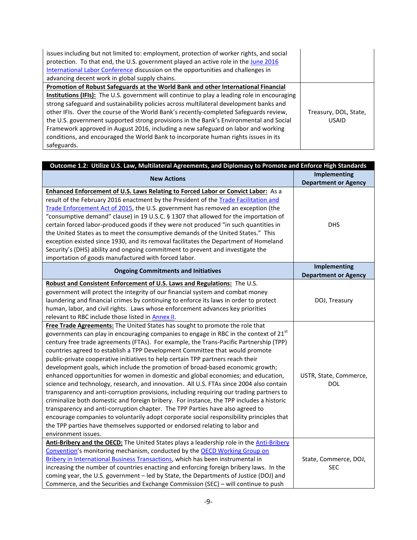| issues including but not limited to: employment, protection of worker rights, and social     |                       |
|----------------------------------------------------------------------------------------------|-----------------------|
| protection. To that end, the U.S. government played an active role in the June 2016          |                       |
| International Labor Conference discussion on the opportunities and challenges in             |                       |
| advancing decent work in global supply chains.                                               |                       |
| Promotion of Robust Safeguards at the World Bank and other International Financial           |                       |
| Institutions (IFIs): The U.S. government will continue to play a leading role in encouraging |                       |
| strong safeguard and sustainability policies across multilateral development banks and       |                       |
| other IFIs. Over the course of the World Bank's recently-completed Safeguards review,        | Treasury, DOL, State, |
| the U.S. government supported strong provisions in the Bank's Environmental and Social       | <b>USAID</b>          |
| Framework approved in August 2016, including a new safeguard on labor and working            |                       |
| conditions, and encouraged the World Bank to incorporate human rights issues in its          |                       |
| safeguards.                                                                                  |                       |

| Outcome 1.2: Utilize U.S. Law, Multilateral Agreements, and Diplomacy to Promote and Enforce High Standards                                                                                                                                                                                                                                                                                                                                                                                                                                                                                                                                                                                                                                                                                                                                                                                                                                                                                                                                                                                                                                                                                 |                                             |
|---------------------------------------------------------------------------------------------------------------------------------------------------------------------------------------------------------------------------------------------------------------------------------------------------------------------------------------------------------------------------------------------------------------------------------------------------------------------------------------------------------------------------------------------------------------------------------------------------------------------------------------------------------------------------------------------------------------------------------------------------------------------------------------------------------------------------------------------------------------------------------------------------------------------------------------------------------------------------------------------------------------------------------------------------------------------------------------------------------------------------------------------------------------------------------------------|---------------------------------------------|
| <b>New Actions</b>                                                                                                                                                                                                                                                                                                                                                                                                                                                                                                                                                                                                                                                                                                                                                                                                                                                                                                                                                                                                                                                                                                                                                                          | Implementing<br><b>Department or Agency</b> |
| Enhanced Enforcement of U.S. Laws Relating to Forced Labor or Convict Labor: As a<br>result of the February 2016 enactment by the President of the Trade Facilitation and<br>Trade Enforcement Act of 2015, the U.S. government has removed an exception (the<br>"consumptive demand" clause) in 19 U.S.C. § 1307 that allowed for the importation of<br>certain forced labor-produced goods if they were not produced "in such quantities in<br>the United States as to meet the consumptive demands of the United States." This<br>exception existed since 1930, and its removal facilitates the Department of Homeland<br>Security's (DHS) ability and ongoing commitment to prevent and investigate the<br>importation of goods manufactured with forced labor.                                                                                                                                                                                                                                                                                                                                                                                                                         | <b>DHS</b><br><b>Implementing</b>           |
| <b>Ongoing Commitments and Initiatives</b>                                                                                                                                                                                                                                                                                                                                                                                                                                                                                                                                                                                                                                                                                                                                                                                                                                                                                                                                                                                                                                                                                                                                                  | <b>Department or Agency</b>                 |
| Robust and Consistent Enforcement of U.S. Laws and Regulations: The U.S.<br>government will protect the integrity of our financial system and combat money<br>laundering and financial crimes by continuing to enforce its laws in order to protect<br>human, labor, and civil rights. Laws whose enforcement advances key priorities<br>relevant to RBC include those listed in <b>Annex II</b> .                                                                                                                                                                                                                                                                                                                                                                                                                                                                                                                                                                                                                                                                                                                                                                                          | DOJ, Treasury                               |
| Free Trade Agreements: The United States has sought to promote the role that<br>governments can play in encouraging companies to engage in RBC in the context of 21 <sup>st</sup><br>century free trade agreements (FTAs). For example, the Trans-Pacific Partnership (TPP)<br>countries agreed to establish a TPP Development Committee that would promote<br>public-private cooperative initiatives to help certain TPP partners reach their<br>development goals, which include the promotion of broad-based economic growth;<br>enhanced opportunities for women in domestic and global economies; and education,<br>science and technology, research, and innovation. All U.S. FTAs since 2004 also contain<br>transparency and anti-corruption provisions, including requiring our trading partners to<br>criminalize both domestic and foreign bribery. For instance, the TPP includes a historic<br>transparency and anti-corruption chapter. The TPP Parties have also agreed to<br>encourage companies to voluntarily adopt corporate social responsibility principles that<br>the TPP parties have themselves supported or endorsed relating to labor and<br>environment issues. | USTR, State, Commerce,<br><b>DOL</b>        |
| Anti-Bribery and the OECD: The United States plays a leadership role in the Anti-Bribery<br>Convention's monitoring mechanism, conducted by the OECD Working Group on<br>Bribery in International Business Transactions, which has been instrumental in<br>increasing the number of countries enacting and enforcing foreign bribery laws. In the<br>coming year, the U.S. government - led by State, the Departments of Justice (DOJ) and<br>Commerce, and the Securities and Exchange Commission (SEC) - will continue to push                                                                                                                                                                                                                                                                                                                                                                                                                                                                                                                                                                                                                                                            | State, Commerce, DOJ,<br><b>SEC</b>         |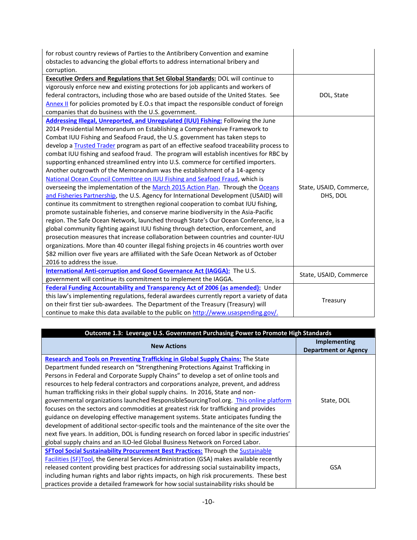| for robust country reviews of Parties to the Antibribery Convention and examine          |                         |
|------------------------------------------------------------------------------------------|-------------------------|
| obstacles to advancing the global efforts to address international bribery and           |                         |
| corruption.                                                                              |                         |
| <b>Executive Orders and Regulations that Set Global Standards: DOL will continue to</b>  |                         |
| vigorously enforce new and existing protections for job applicants and workers of        |                         |
| federal contractors, including those who are based outside of the United States. See     | DOL, State              |
| Annex II for policies promoted by E.O.s that impact the responsible conduct of foreign   |                         |
| companies that do business with the U.S. government.                                     |                         |
| Addressing Illegal, Unreported, and Unregulated (IUU) Fishing: Following the June        |                         |
| 2014 Presidential Memorandum on Establishing a Comprehensive Framework to                |                         |
| Combat IUU Fishing and Seafood Fraud, the U.S. government has taken steps to             |                         |
| develop a Trusted Trader program as part of an effective seafood traceability process to |                         |
| combat IUU fishing and seafood fraud. The program will establish incentives for RBC by   |                         |
| supporting enhanced streamlined entry into U.S. commerce for certified importers.        |                         |
| Another outgrowth of the Memorandum was the establishment of a 14-agency                 |                         |
| National Ocean Council Committee on IUU Fishing and Seafood Fraud, which is              |                         |
| overseeing the implementation of the March 2015 Action Plan. Through the Oceans          | State, USAID, Commerce, |
| and Fisheries Partnership, the U.S. Agency for International Development (USAID) will    | DHS, DOL                |
| continue its commitment to strengthen regional cooperation to combat IUU fishing,        |                         |
| promote sustainable fisheries, and conserve marine biodiversity in the Asia-Pacific      |                         |
| region. The Safe Ocean Network, launched through State's Our Ocean Conference, is a      |                         |
| global community fighting against IUU fishing through detection, enforcement, and        |                         |
| prosecution measures that increase collaboration between countries and counter-IUU       |                         |
| organizations. More than 40 counter illegal fishing projects in 46 countries worth over  |                         |
| \$82 million over five years are affiliated with the Safe Ocean Network as of October    |                         |
| 2016 to address the issue.                                                               |                         |
| International Anti-corruption and Good Governance Act (IAGGA): The U.S.                  | State, USAID, Commerce  |
| government will continue its commitment to implement the IAGGA.                          |                         |
| Federal Funding Accountability and Transparency Act of 2006 (as amended): Under          |                         |
| this law's implementing regulations, federal awardees currently report a variety of data | Treasury                |
| on their first tier sub-awardees. The Department of the Treasury (Treasury) will         |                         |
| continue to make this data available to the public on http://www.usaspending.gov/.       |                         |

| Outcome 1.3: Leverage U.S. Government Purchasing Power to Promote High Standards               |                                                    |
|------------------------------------------------------------------------------------------------|----------------------------------------------------|
| <b>New Actions</b>                                                                             | <b>Implementing</b><br><b>Department or Agency</b> |
| Research and Tools on Preventing Trafficking in Global Supply Chains: The State                |                                                    |
| Department funded research on "Strengthening Protections Against Trafficking in                |                                                    |
| Persons in Federal and Corporate Supply Chains" to develop a set of online tools and           |                                                    |
| resources to help federal contractors and corporations analyze, prevent, and address           |                                                    |
| human trafficking risks in their global supply chains. In 2016, State and non-                 |                                                    |
| governmental organizations launched ResponsibleSourcingTool.org. This online platform          | State, DOL                                         |
| focuses on the sectors and commodities at greatest risk for trafficking and provides           |                                                    |
| guidance on developing effective management systems. State anticipates funding the             |                                                    |
| development of additional sector-specific tools and the maintenance of the site over the       |                                                    |
| next five years. In addition, DOL is funding research on forced labor in specific industries'  |                                                    |
| global supply chains and an ILO-led Global Business Network on Forced Labor.                   |                                                    |
| <b>SFTool Social Sustainability Procurement Best Practices:</b> Through the <b>Sustainable</b> |                                                    |
| Facilities (SF)Tool, the General Services Administration (GSA) makes available recently        |                                                    |
| released content providing best practices for addressing social sustainability impacts,        | GSA                                                |
| including human rights and labor rights impacts, on high risk procurements. These best         |                                                    |
| practices provide a detailed framework for how social sustainability risks should be           |                                                    |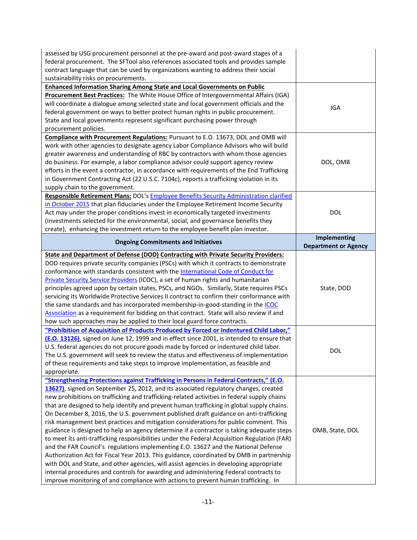| assessed by USG procurement personnel at the pre-award and post-award stages of a<br>federal procurement. The SFTool also references associated tools and provides sample<br>contract language that can be used by organizations wanting to address their social<br>sustainability risks on procurements. |                                             |
|-----------------------------------------------------------------------------------------------------------------------------------------------------------------------------------------------------------------------------------------------------------------------------------------------------------|---------------------------------------------|
| Enhanced Information Sharing Among State and Local Governments on Public                                                                                                                                                                                                                                  |                                             |
| Procurement Best Practices: The White House Office of Intergovernmental Affairs (IGA)                                                                                                                                                                                                                     |                                             |
| will coordinate a dialogue among selected state and local government officials and the                                                                                                                                                                                                                    |                                             |
| federal government on ways to better protect human rights in public procurement.                                                                                                                                                                                                                          | IGA                                         |
| State and local governments represent significant purchasing power through                                                                                                                                                                                                                                |                                             |
| procurement policies.                                                                                                                                                                                                                                                                                     |                                             |
| Compliance with Procurement Regulations: Pursuant to E.O. 13673, DOL and OMB will                                                                                                                                                                                                                         |                                             |
| work with other agencies to designate agency Labor Compliance Advisors who will build                                                                                                                                                                                                                     |                                             |
| greater awareness and understanding of RBC by contractors with whom those agencies                                                                                                                                                                                                                        |                                             |
| do business. For example, a labor compliance advisor could support agency review                                                                                                                                                                                                                          | DOL, OMB                                    |
| efforts in the event a contractor, in accordance with requirements of the End Trafficking                                                                                                                                                                                                                 |                                             |
|                                                                                                                                                                                                                                                                                                           |                                             |
| in Government Contracting Act (22 U.S.C. 7104c), reports a trafficking violation in its                                                                                                                                                                                                                   |                                             |
| supply chain to the government.                                                                                                                                                                                                                                                                           |                                             |
| Responsible Retirement Plans: DOL's Employee Benefits Security Administration clarified                                                                                                                                                                                                                   |                                             |
| in October 2015 that plan fiduciaries under the Employee Retirement Income Security                                                                                                                                                                                                                       |                                             |
| Act may under the proper conditions invest in economically targeted investments                                                                                                                                                                                                                           | <b>DOL</b>                                  |
| (investments selected for the environmental, social, and governance benefits they                                                                                                                                                                                                                         |                                             |
| create), enhancing the investment return to the employee benefit plan investor.                                                                                                                                                                                                                           |                                             |
| <b>Ongoing Commitments and Initiatives</b>                                                                                                                                                                                                                                                                | Implementing<br><b>Department or Agency</b> |
| <b>State and Department of Defense (DOD) Contracting with Private Security Providers:</b>                                                                                                                                                                                                                 |                                             |
| DOD requires private security companies (PSCs) with which it contracts to demonstrate                                                                                                                                                                                                                     |                                             |
|                                                                                                                                                                                                                                                                                                           |                                             |
| conformance with standards consistent with the International Code of Conduct for                                                                                                                                                                                                                          |                                             |
| Private Security Service Providers (ICOC), a set of human rights and humanitarian                                                                                                                                                                                                                         |                                             |
| principles agreed upon by certain states, PSCs, and NGOs. Similarly, State requires PSCs                                                                                                                                                                                                                  | State, DOD                                  |
| servicing its Worldwide Protective Services II contract to confirm their conformance with                                                                                                                                                                                                                 |                                             |
| the same standards and has incorporated membership-in-good-standing in the ICOC                                                                                                                                                                                                                           |                                             |
| Association as a requirement for bidding on that contract. State will also review if and                                                                                                                                                                                                                  |                                             |
| how such approaches may be applied to their local guard force contracts.                                                                                                                                                                                                                                  |                                             |
| "Prohibition of Acquisition of Products Produced by Forced or Indentured Child Labor,"                                                                                                                                                                                                                    |                                             |
| (E.O. 13126), signed on June 12, 1999 and in effect since 2001, is intended to ensure that                                                                                                                                                                                                                |                                             |
| U.S. federal agencies do not procure goods made by forced or indentured child labor.                                                                                                                                                                                                                      |                                             |
| The U.S. government will seek to review the status and effectiveness of implementation                                                                                                                                                                                                                    | DOL                                         |
| of these requirements and take steps to improve implementation, as feasible and                                                                                                                                                                                                                           |                                             |
| appropriate.                                                                                                                                                                                                                                                                                              |                                             |
|                                                                                                                                                                                                                                                                                                           |                                             |
| "Strengthening Protections against Trafficking in Persons in Federal Contracts," (E.O.                                                                                                                                                                                                                    |                                             |
| 13627), signed on September 25, 2012, and its associated regulatory changes, created                                                                                                                                                                                                                      |                                             |
| new prohibitions on trafficking and trafficking-related activities in federal supply chains                                                                                                                                                                                                               |                                             |
| that are designed to help identify and prevent human trafficking in global supply chains.                                                                                                                                                                                                                 |                                             |
| On December 8, 2016, the U.S. government published draft guidance on anti-trafficking                                                                                                                                                                                                                     |                                             |
| risk management best practices and mitigation considerations for public comment. This                                                                                                                                                                                                                     |                                             |
| guidance is designed to help an agency determine if a contractor is taking adequate steps                                                                                                                                                                                                                 | OMB, State, DOL                             |
| to meet its anti-trafficking responsibilities under the Federal Acquisition Regulation (FAR)                                                                                                                                                                                                              |                                             |
| and the FAR Council's regulations implementing E.O. 13627 and the National Defense                                                                                                                                                                                                                        |                                             |
| Authorization Act for Fiscal Year 2013. This guidance, coordinated by OMB in partnership                                                                                                                                                                                                                  |                                             |
| with DOL and State, and other agencies, will assist agencies in developing appropriate<br>internal procedures and controls for awarding and administering Federal contracts to                                                                                                                            |                                             |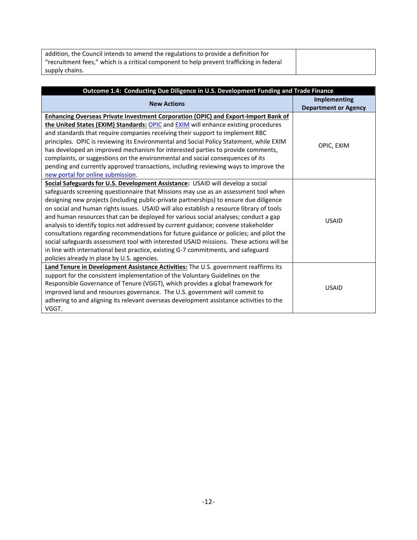| addition, the Council intends to amend the regulations to provide a definition for       |  |
|------------------------------------------------------------------------------------------|--|
| "recruitment fees," which is a critical component to help prevent trafficking in federal |  |
| supply chains.                                                                           |  |

| Outcome 1.4: Conducting Due Diligence in U.S. Development Funding and Trade Finance       |                             |
|-------------------------------------------------------------------------------------------|-----------------------------|
| <b>New Actions</b>                                                                        | <b>Implementing</b>         |
|                                                                                           | <b>Department or Agency</b> |
| <b>Enhancing Overseas Private Investment Corporation (OPIC) and Export-Import Bank of</b> |                             |
| the United States (EXIM) Standards: OPIC and EXIM will enhance existing procedures        |                             |
| and standards that require companies receiving their support to implement RBC             |                             |
| principles. OPIC is reviewing its Environmental and Social Policy Statement, while EXIM   | OPIC, EXIM                  |
| has developed an improved mechanism for interested parties to provide comments,           |                             |
| complaints, or suggestions on the environmental and social consequences of its            |                             |
| pending and currently approved transactions, including reviewing ways to improve the      |                             |
| new portal for online submission.                                                         |                             |
| Social Safeguards for U.S. Development Assistance: USAID will develop a social            |                             |
| safeguards screening questionnaire that Missions may use as an assessment tool when       |                             |
| designing new projects (including public-private partnerships) to ensure due diligence    |                             |
| on social and human rights issues. USAID will also establish a resource library of tools  |                             |
| and human resources that can be deployed for various social analyses; conduct a gap       | <b>USAID</b>                |
| analysis to identify topics not addressed by current guidance; convene stakeholder        |                             |
| consultations regarding recommendations for future guidance or policies; and pilot the    |                             |
| social safeguards assessment tool with interested USAID missions. These actions will be   |                             |
| in line with international best practice, existing G-7 commitments, and safeguard         |                             |
| policies already in place by U.S. agencies.                                               |                             |
| Land Tenure in Development Assistance Activities: The U.S. government reaffirms its       |                             |
| support for the consistent implementation of the Voluntary Guidelines on the              |                             |
| Responsible Governance of Tenure (VGGT), which provides a global framework for            | <b>USAID</b>                |
| improved land and resources governance. The U.S. government will commit to                |                             |
| adhering to and aligning its relevant overseas development assistance activities to the   |                             |
| VGGT.                                                                                     |                             |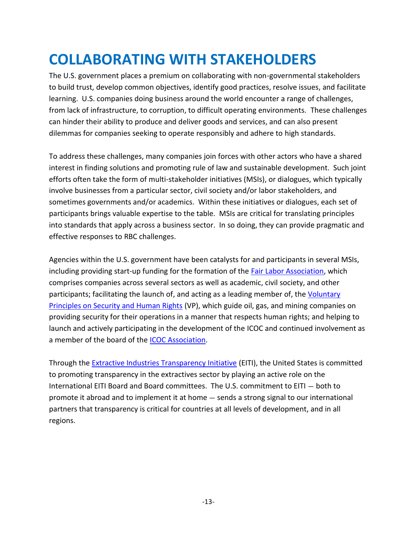## <span id="page-12-0"></span>**COLLABORATING WITH STAKEHOLDERS**

The U.S. government places a premium on collaborating with non-governmental stakeholders to build trust, develop common objectives, identify good practices, resolve issues, and facilitate learning. U.S. companies doing business around the world encounter a range of challenges, from lack of infrastructure, to corruption, to difficult operating environments. These challenges can hinder their ability to produce and deliver goods and services, and can also present dilemmas for companies seeking to operate responsibly and adhere to high standards.

To address these challenges, many companies join forces with other actors who have a shared interest in finding solutions and promoting rule of law and sustainable development. Such joint efforts often take the form of multi-stakeholder initiatives (MSIs), or dialogues, which typically involve businesses from a particular sector, civil society and/or labor stakeholders, and sometimes governments and/or academics. Within these initiatives or dialogues, each set of participants brings valuable expertise to the table. MSIs are critical for translating principles into standards that apply across a business sector. In so doing, they can provide pragmatic and effective responses to RBC challenges.

Agencies within the U.S. government have been catalysts for and participants in several MSIs, including providing start-up funding for the formation of the [Fair Labor Association,](http://www.fairlabor.org/) which comprises companies across several sectors as well as academic, civil society, and other participants; facilitating the launch of, and acting as a leading member of, the [Voluntary](http://www.voluntaryprinciples.org/)  Principles on [Security and Human Rights](http://www.voluntaryprinciples.org/) (VP), which guide oil, gas, and mining companies on providing security for their operations in a manner that respects human rights; and helping to launch and actively participating in the development of the ICOC and continued involvement as a member of the board of the **ICOC** Association.

Through the **Extractive Industries Transparency Initiative (EITI)**, the United States is committed to promoting transparency in the extractives sector by playing an active role on the International EITI Board and Board committees. The U.S. commitment to EITI — both to promote it abroad and to implement it at home — sends a strong signal to our international partners that transparency is critical for countries at all levels of development, and in all regions.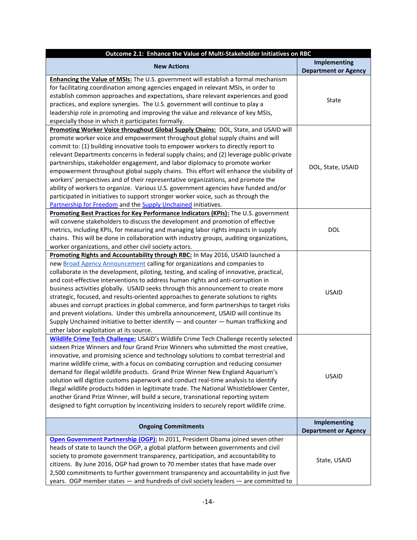| Outcome 2.1: Enhance the Value of Multi-Stakeholder Initiatives on RBC                                                                                                                                                                                                                                                                                                                                                                                                                                                                                                                                                                                                                                                                                                                                                                                         |                                                    |
|----------------------------------------------------------------------------------------------------------------------------------------------------------------------------------------------------------------------------------------------------------------------------------------------------------------------------------------------------------------------------------------------------------------------------------------------------------------------------------------------------------------------------------------------------------------------------------------------------------------------------------------------------------------------------------------------------------------------------------------------------------------------------------------------------------------------------------------------------------------|----------------------------------------------------|
| <b>New Actions</b>                                                                                                                                                                                                                                                                                                                                                                                                                                                                                                                                                                                                                                                                                                                                                                                                                                             | <b>Implementing</b><br><b>Department or Agency</b> |
| Enhancing the Value of MSIs: The U.S. government will establish a formal mechanism<br>for facilitating coordination among agencies engaged in relevant MSIs, in order to<br>establish common approaches and expectations, share relevant experiences and good<br>practices, and explore synergies. The U.S. government will continue to play a<br>leadership role in promoting and improving the value and relevance of key MSIs,<br>especially those in which it participates formally.                                                                                                                                                                                                                                                                                                                                                                       | State                                              |
| Promoting Worker Voice throughout Global Supply Chains: DOL, State, and USAID will<br>promote worker voice and empowerment throughout global supply chains and will<br>commit to: (1) building innovative tools to empower workers to directly report to<br>relevant Departments concerns in federal supply chains; and (2) leverage public-private<br>partnerships, stakeholder engagement, and labor diplomacy to promote worker<br>empowerment throughout global supply chains. This effort will enhance the visibility of<br>workers' perspectives and of their representative organizations, and promote the<br>ability of workers to organize. Various U.S. government agencies have funded and/or<br>participated in initiatives to support stronger worker voice, such as through the<br>Partnership for Freedom and the Supply Unchained initiatives. | DOL, State, USAID                                  |
| Promoting Best Practices for Key Performance Indicators (KPIs): The U.S. government<br>will convene stakeholders to discuss the development and promotion of effective<br>metrics, including KPIs, for measuring and managing labor rights impacts in supply<br>chains. This will be done in collaboration with industry groups, auditing organizations,<br>worker organizations, and other civil society actors.                                                                                                                                                                                                                                                                                                                                                                                                                                              | <b>DOL</b>                                         |
| Promoting Rights and Accountability through RBC: In May 2016, USAID launched a<br>new Broad Agency Announcement calling for organizations and companies to<br>collaborate in the development, piloting, testing, and scaling of innovative, practical,<br>and cost-effective interventions to address human rights and anti-corruption in<br>business activities globally. USAID seeks through this announcement to create more<br>strategic, focused, and results-oriented approaches to generate solutions to rights<br>abuses and corrupt practices in global commerce, and form partnerships to target risks<br>and prevent violations. Under this umbrella announcement, USAID will continue its<br>Supply Unchained initiative to better identify $-$ and counter $-$ human trafficking and<br>other labor exploitation at its source.                   | <b>USAID</b>                                       |
| <b>Wildlife Crime Tech Challenge: USAID's Wildlife Crime Tech Challenge recently selected</b><br>sixteen Prize Winners and four Grand Prize Winners who submitted the most creative,<br>innovative, and promising science and technology solutions to combat terrestrial and<br>marine wildlife crime, with a focus on combating corruption and reducing consumer<br>demand for illegal wildlife products. Grand Prize Winner New England Aquarium's<br>solution will digitize customs paperwork and conduct real-time analysis to identify<br>illegal wildlife products hidden in legitimate trade. The National Whistleblower Center,<br>another Grand Prize Winner, will build a secure, transnational reporting system<br>designed to fight corruption by incentivizing insiders to securely report wildlife crime.                                        | <b>USAID</b>                                       |
| <b>Ongoing Commitments</b>                                                                                                                                                                                                                                                                                                                                                                                                                                                                                                                                                                                                                                                                                                                                                                                                                                     | <b>Implementing</b><br><b>Department or Agency</b> |
| Open Government Partnership (OGP): In 2011, President Obama joined seven other<br>heads of state to launch the OGP, a global platform between governments and civil<br>society to promote government transparency, participation, and accountability to<br>citizens. By June 2016, OGP had grown to 70 member states that have made over<br>2,500 commitments to further government transparency and accountability in just five<br>years. OGP member states - and hundreds of civil society leaders - are committed to                                                                                                                                                                                                                                                                                                                                        | State, USAID                                       |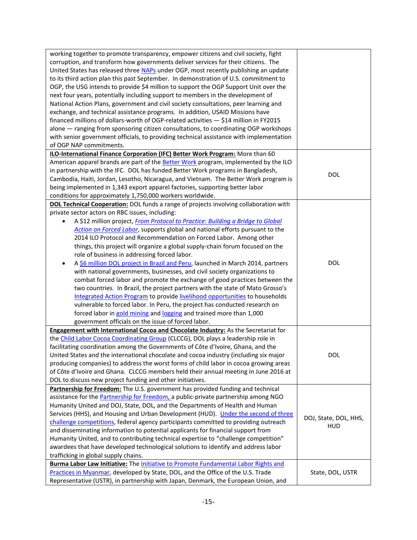| working together to promote transparency, empower citizens and civil society, fight<br>corruption, and transform how governments deliver services for their citizens. The<br>United States has released three NAPs under OGP, most recently publishing an update<br>to its third action plan this past September. In demonstration of U.S. commitment to<br>OGP, the USG intends to provide \$4 million to support the OGP Support Unit over the<br>next four years, potentially including support to members in the development of<br>National Action Plans, government and civil society consultations, peer learning and<br>exchange, and technical assistance programs. In addition, USAID Missions have<br>financed millions of dollars-worth of OGP-related activities - \$14 million in FY2015<br>alone - ranging from sponsoring citizen consultations, to coordinating OGP workshops<br>with senior government officials, to providing technical assistance with implementation<br>of OGP NAP commitments. |                       |
|---------------------------------------------------------------------------------------------------------------------------------------------------------------------------------------------------------------------------------------------------------------------------------------------------------------------------------------------------------------------------------------------------------------------------------------------------------------------------------------------------------------------------------------------------------------------------------------------------------------------------------------------------------------------------------------------------------------------------------------------------------------------------------------------------------------------------------------------------------------------------------------------------------------------------------------------------------------------------------------------------------------------|-----------------------|
| ILO-International Finance Corporation (IFC) Better Work Program: More than 60                                                                                                                                                                                                                                                                                                                                                                                                                                                                                                                                                                                                                                                                                                                                                                                                                                                                                                                                       |                       |
| American apparel brands are part of the Better Work program, implemented by the ILO<br>in partnership with the IFC. DOL has funded Better Work programs in Bangladesh,                                                                                                                                                                                                                                                                                                                                                                                                                                                                                                                                                                                                                                                                                                                                                                                                                                              |                       |
| Cambodia, Haiti, Jordan, Lesotho, Nicaragua, and Vietnam. The Better Work program is                                                                                                                                                                                                                                                                                                                                                                                                                                                                                                                                                                                                                                                                                                                                                                                                                                                                                                                                | <b>DOL</b>            |
| being implemented in 1,343 export apparel factories, supporting better labor                                                                                                                                                                                                                                                                                                                                                                                                                                                                                                                                                                                                                                                                                                                                                                                                                                                                                                                                        |                       |
| conditions for approximately 1,750,000 workers worldwide.                                                                                                                                                                                                                                                                                                                                                                                                                                                                                                                                                                                                                                                                                                                                                                                                                                                                                                                                                           |                       |
| <b>DOL Technical Cooperation:</b> DOL funds a range of projects involving collaboration with                                                                                                                                                                                                                                                                                                                                                                                                                                                                                                                                                                                                                                                                                                                                                                                                                                                                                                                        |                       |
| private sector actors on RBC issues, including:                                                                                                                                                                                                                                                                                                                                                                                                                                                                                                                                                                                                                                                                                                                                                                                                                                                                                                                                                                     |                       |
| A \$12 million project, From Protocol to Practice: Building a Bridge to Global                                                                                                                                                                                                                                                                                                                                                                                                                                                                                                                                                                                                                                                                                                                                                                                                                                                                                                                                      |                       |
| Action on Forced Labor, supports global and national efforts pursuant to the                                                                                                                                                                                                                                                                                                                                                                                                                                                                                                                                                                                                                                                                                                                                                                                                                                                                                                                                        |                       |
| 2014 ILO Protocol and Recommendation on Forced Labor. Among other                                                                                                                                                                                                                                                                                                                                                                                                                                                                                                                                                                                                                                                                                                                                                                                                                                                                                                                                                   |                       |
| things, this project will organize a global supply-chain forum focused on the                                                                                                                                                                                                                                                                                                                                                                                                                                                                                                                                                                                                                                                                                                                                                                                                                                                                                                                                       |                       |
| role of business in addressing forced labor.                                                                                                                                                                                                                                                                                                                                                                                                                                                                                                                                                                                                                                                                                                                                                                                                                                                                                                                                                                        |                       |
| A \$6 million DOL project in Brazil and Peru, launched in March 2014, partners<br>٠                                                                                                                                                                                                                                                                                                                                                                                                                                                                                                                                                                                                                                                                                                                                                                                                                                                                                                                                 | <b>DOL</b>            |
| with national governments, businesses, and civil society organizations to                                                                                                                                                                                                                                                                                                                                                                                                                                                                                                                                                                                                                                                                                                                                                                                                                                                                                                                                           |                       |
| combat forced labor and promote the exchange of good practices between the                                                                                                                                                                                                                                                                                                                                                                                                                                                                                                                                                                                                                                                                                                                                                                                                                                                                                                                                          |                       |
| two countries. In Brazil, the project partners with the state of Mato Grosso's                                                                                                                                                                                                                                                                                                                                                                                                                                                                                                                                                                                                                                                                                                                                                                                                                                                                                                                                      |                       |
| Integrated Action Program to provide livelihood opportunities to households                                                                                                                                                                                                                                                                                                                                                                                                                                                                                                                                                                                                                                                                                                                                                                                                                                                                                                                                         |                       |
| vulnerable to forced labor. In Peru, the project has conducted research on                                                                                                                                                                                                                                                                                                                                                                                                                                                                                                                                                                                                                                                                                                                                                                                                                                                                                                                                          |                       |
| forced labor in gold mining and logging and trained more than 1,000                                                                                                                                                                                                                                                                                                                                                                                                                                                                                                                                                                                                                                                                                                                                                                                                                                                                                                                                                 |                       |
| government officials on the issue of forced labor.                                                                                                                                                                                                                                                                                                                                                                                                                                                                                                                                                                                                                                                                                                                                                                                                                                                                                                                                                                  |                       |
| <b>Engagement with International Cocoa and Chocolate Industry:</b> As the Secretariat for                                                                                                                                                                                                                                                                                                                                                                                                                                                                                                                                                                                                                                                                                                                                                                                                                                                                                                                           |                       |
| the Child Labor Cocoa Coordinating Group (CLCCG), DOL plays a leadership role in                                                                                                                                                                                                                                                                                                                                                                                                                                                                                                                                                                                                                                                                                                                                                                                                                                                                                                                                    |                       |
| facilitating coordination among the Governments of Côte d'Ivoire, Ghana, and the                                                                                                                                                                                                                                                                                                                                                                                                                                                                                                                                                                                                                                                                                                                                                                                                                                                                                                                                    |                       |
| United States and the international chocolate and cocoa industry (including six major                                                                                                                                                                                                                                                                                                                                                                                                                                                                                                                                                                                                                                                                                                                                                                                                                                                                                                                               | DOL                   |
| producing companies) to address the worst forms of child labor in cocoa growing areas                                                                                                                                                                                                                                                                                                                                                                                                                                                                                                                                                                                                                                                                                                                                                                                                                                                                                                                               |                       |
| of Côte d'Ivoire and Ghana. CLCCG members held their annual meeting in June 2016 at                                                                                                                                                                                                                                                                                                                                                                                                                                                                                                                                                                                                                                                                                                                                                                                                                                                                                                                                 |                       |
| DOL to discuss new project funding and other initiatives.                                                                                                                                                                                                                                                                                                                                                                                                                                                                                                                                                                                                                                                                                                                                                                                                                                                                                                                                                           |                       |
| Partnership for Freedom: The U.S. government has provided funding and technical                                                                                                                                                                                                                                                                                                                                                                                                                                                                                                                                                                                                                                                                                                                                                                                                                                                                                                                                     |                       |
| assistance for the <b>Partnership for Freedom</b> , a public-private partnership among NGO                                                                                                                                                                                                                                                                                                                                                                                                                                                                                                                                                                                                                                                                                                                                                                                                                                                                                                                          |                       |
| Humanity United and DOJ, State, DOL, and the Departments of Health and Human                                                                                                                                                                                                                                                                                                                                                                                                                                                                                                                                                                                                                                                                                                                                                                                                                                                                                                                                        |                       |
| Services (HHS), and Housing and Urban Development (HUD). Under the second of three                                                                                                                                                                                                                                                                                                                                                                                                                                                                                                                                                                                                                                                                                                                                                                                                                                                                                                                                  | DOJ, State, DOL, HHS, |
| challenge competitions, federal agency participants committed to providing outreach                                                                                                                                                                                                                                                                                                                                                                                                                                                                                                                                                                                                                                                                                                                                                                                                                                                                                                                                 | <b>HUD</b>            |
| and disseminating information to potential applicants for financial support from                                                                                                                                                                                                                                                                                                                                                                                                                                                                                                                                                                                                                                                                                                                                                                                                                                                                                                                                    |                       |
| Humanity United, and to contributing technical expertise to "challenge competition"                                                                                                                                                                                                                                                                                                                                                                                                                                                                                                                                                                                                                                                                                                                                                                                                                                                                                                                                 |                       |
| awardees that have developed technological solutions to identify and address labor                                                                                                                                                                                                                                                                                                                                                                                                                                                                                                                                                                                                                                                                                                                                                                                                                                                                                                                                  |                       |
| trafficking in global supply chains.                                                                                                                                                                                                                                                                                                                                                                                                                                                                                                                                                                                                                                                                                                                                                                                                                                                                                                                                                                                |                       |
| <b>Burma Labor Law Initiative: The Initiative to Promote Fundamental Labor Rights and</b>                                                                                                                                                                                                                                                                                                                                                                                                                                                                                                                                                                                                                                                                                                                                                                                                                                                                                                                           |                       |
| Practices in Myanmar, developed by State, DOL, and the Office of the U.S. Trade                                                                                                                                                                                                                                                                                                                                                                                                                                                                                                                                                                                                                                                                                                                                                                                                                                                                                                                                     | State, DOL, USTR      |
| Representative (USTR), in partnership with Japan, Denmark, the European Union, and                                                                                                                                                                                                                                                                                                                                                                                                                                                                                                                                                                                                                                                                                                                                                                                                                                                                                                                                  |                       |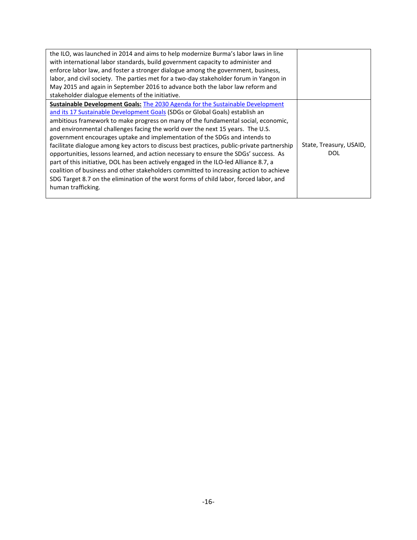| the ILO, was launched in 2014 and aims to help modernize Burma's labor laws in line        |                         |
|--------------------------------------------------------------------------------------------|-------------------------|
| with international labor standards, build government capacity to administer and            |                         |
| enforce labor law, and foster a stronger dialogue among the government, business,          |                         |
| labor, and civil society. The parties met for a two-day stakeholder forum in Yangon in     |                         |
| May 2015 and again in September 2016 to advance both the labor law reform and              |                         |
| stakeholder dialogue elements of the initiative.                                           |                         |
| <b>Sustainable Development Goals: The 2030 Agenda for the Sustainable Development</b>      |                         |
| and its 17 Sustainable Development Goals (SDGs or Global Goals) establish an               |                         |
| ambitious framework to make progress on many of the fundamental social, economic,          |                         |
| and environmental challenges facing the world over the next 15 years. The U.S.             |                         |
| government encourages uptake and implementation of the SDGs and intends to                 |                         |
| facilitate dialogue among key actors to discuss best practices, public-private partnership | State, Treasury, USAID, |
| opportunities, lessons learned, and action necessary to ensure the SDGs' success. As       | DOL                     |
| part of this initiative, DOL has been actively engaged in the ILO-led Alliance 8.7, a      |                         |
| coalition of business and other stakeholders committed to increasing action to achieve     |                         |
| SDG Target 8.7 on the elimination of the worst forms of child labor, forced labor, and     |                         |
| human trafficking.                                                                         |                         |
|                                                                                            |                         |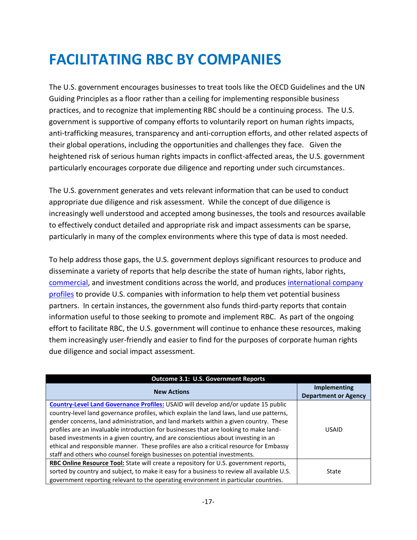## <span id="page-16-0"></span>**FACILITATING RBC BY COMPANIES**

The U.S. government encourages businesses to treat tools like the OECD Guidelines and the UN Guiding Principles as a floor rather than a ceiling for implementing responsible business practices, and to recognize that implementing RBC should be a continuing process. The U.S. government is supportive of company efforts to voluntarily report on human rights impacts, anti-trafficking measures, transparency and anti-corruption efforts, and other related aspects of their global operations, including the opportunities and challenges they face. Given the heightened risk of serious human rights impacts in conflict-affected areas, the U.S. government particularly encourages corporate due diligence and reporting under such circumstances.

The U.S. government generates and vets relevant information that can be used to conduct appropriate due diligence and risk assessment. While the concept of due diligence is increasingly well understood and accepted among businesses, the tools and resources available to effectively conduct detailed and appropriate risk and impact assessments can be sparse, particularly in many of the complex environments where this type of data is most needed.

To help address those gaps, the U.S. government deploys significant resources to produce and disseminate a variety of reports that help describe the state of human rights, labor rights, [commercial,](http://www.export.gov/ccg/) and investment conditions across the world, and produces [international company](http://www.export.gov/salesandmarketing/eg_main_018198.asp)  [profiles](http://www.export.gov/salesandmarketing/eg_main_018198.asp) to provide U.S. companies with information to help them vet potential business partners. In certain instances, the government also funds third-party reports that contain information useful to those seeking to promote and implement RBC. As part of the ongoing effort to facilitate RBC, the U.S. government will continue to enhance these resources, making them increasingly user-friendly and easier to find for the purposes of corporate human rights due diligence and social impact assessment.

| <b>Outcome 3.1: U.S. Government Reports</b>                                                                                                                                                                                                                                                                                                                                                                                                                                                                                                                                                                                 |                                             |
|-----------------------------------------------------------------------------------------------------------------------------------------------------------------------------------------------------------------------------------------------------------------------------------------------------------------------------------------------------------------------------------------------------------------------------------------------------------------------------------------------------------------------------------------------------------------------------------------------------------------------------|---------------------------------------------|
| <b>New Actions</b>                                                                                                                                                                                                                                                                                                                                                                                                                                                                                                                                                                                                          | Implementing<br><b>Department or Agency</b> |
| Country-Level Land Governance Profiles: USAID will develop and/or update 15 public<br>country-level land governance profiles, which explain the land laws, land use patterns,<br>gender concerns, land administration, and land markets within a given country. These<br>profiles are an invaluable introduction for businesses that are looking to make land-<br>based investments in a given country, and are conscientious about investing in an<br>ethical and responsible manner. These profiles are also a critical resource for Embassy<br>staff and others who counsel foreign businesses on potential investments. | <b>USAID</b>                                |
| RBC Online Resource Tool: State will create a repository for U.S. government reports,<br>sorted by country and subject, to make it easy for a business to review all available U.S.<br>government reporting relevant to the operating environment in particular countries.                                                                                                                                                                                                                                                                                                                                                  | State                                       |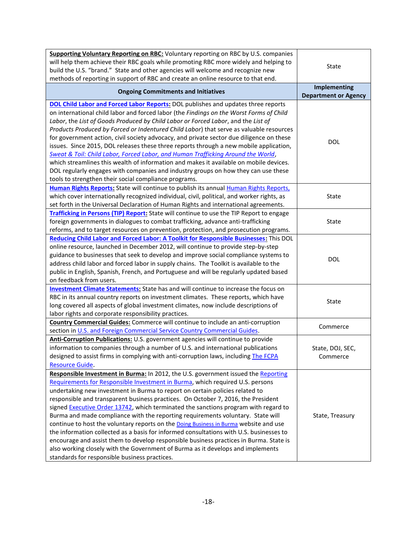| Supporting Voluntary Reporting on RBC: Voluntary reporting on RBC by U.S. companies<br>will help them achieve their RBC goals while promoting RBC more widely and helping to<br>build the U.S. "brand." State and other agencies will welcome and recognize new<br>methods of reporting in support of RBC and create an online resource to that end.                                                                                                                                                                                                                                                                                                                                                                                                                                                                                                                                                                                        | State                                              |  |
|---------------------------------------------------------------------------------------------------------------------------------------------------------------------------------------------------------------------------------------------------------------------------------------------------------------------------------------------------------------------------------------------------------------------------------------------------------------------------------------------------------------------------------------------------------------------------------------------------------------------------------------------------------------------------------------------------------------------------------------------------------------------------------------------------------------------------------------------------------------------------------------------------------------------------------------------|----------------------------------------------------|--|
| <b>Ongoing Commitments and Initiatives</b>                                                                                                                                                                                                                                                                                                                                                                                                                                                                                                                                                                                                                                                                                                                                                                                                                                                                                                  | <b>Implementing</b><br><b>Department or Agency</b> |  |
| <b>DOL Child Labor and Forced Labor Reports:</b> DOL publishes and updates three reports<br>on international child labor and forced labor (the Findings on the Worst Forms of Child<br>Labor, the List of Goods Produced by Child Labor or Forced Labor, and the List of<br>Products Produced by Forced or Indentured Child Labor) that serve as valuable resources<br>for government action, civil society advocacy, and private sector due diligence on these<br>issues. Since 2015, DOL releases these three reports through a new mobile application,<br>Sweat & Toil: Child Labor, Forced Labor, and Human Trafficking Around the World,<br>which streamlines this wealth of information and makes it available on mobile devices.<br>DOL regularly engages with companies and industry groups on how they can use these<br>tools to strengthen their social compliance programs.                                                      | <b>DOL</b>                                         |  |
| Human Rights Reports: State will continue to publish its annual Human Rights Reports,<br>which cover internationally recognized individual, civil, political, and worker rights, as<br>set forth in the Universal Declaration of Human Rights and international agreements.                                                                                                                                                                                                                                                                                                                                                                                                                                                                                                                                                                                                                                                                 | State                                              |  |
| Trafficking in Persons (TIP) Report: State will continue to use the TIP Report to engage<br>foreign governments in dialogues to combat trafficking, advance anti-trafficking<br>reforms, and to target resources on prevention, protection, and prosecution programs.                                                                                                                                                                                                                                                                                                                                                                                                                                                                                                                                                                                                                                                                       | State                                              |  |
| <b>Reducing Child Labor and Forced Labor: A Toolkit for Responsible Businesses:</b> This DOL<br>online resource, launched in December 2012, will continue to provide step-by-step<br>guidance to businesses that seek to develop and improve social compliance systems to<br>address child labor and forced labor in supply chains. The Toolkit is available to the<br>public in English, Spanish, French, and Portuguese and will be regularly updated based<br>on feedback from users.                                                                                                                                                                                                                                                                                                                                                                                                                                                    | <b>DOL</b>                                         |  |
| <b>Investment Climate Statements:</b> State has and will continue to increase the focus on<br>RBC in its annual country reports on investment climates. These reports, which have<br>long covered all aspects of global investment climates, now include descriptions of<br>labor rights and corporate responsibility practices.                                                                                                                                                                                                                                                                                                                                                                                                                                                                                                                                                                                                            | State                                              |  |
| <b>Country Commercial Guides:</b> Commerce will continue to include an anti-corruption<br>section in U.S. and Foreign Commercial Service Country Commercial Guides.                                                                                                                                                                                                                                                                                                                                                                                                                                                                                                                                                                                                                                                                                                                                                                         | Commerce                                           |  |
| Anti-Corruption Publications: U.S. government agencies will continue to provide<br>information to companies through a number of U.S. and international publications<br>designed to assist firms in complying with anti-corruption laws, including The FCPA<br><b>Resource Guide.</b>                                                                                                                                                                                                                                                                                                                                                                                                                                                                                                                                                                                                                                                        | State, DOJ, SEC,<br>Commerce                       |  |
| Responsible Investment in Burma: In 2012, the U.S. government issued the Reporting<br>Requirements for Responsible Investment in Burma, which required U.S. persons<br>undertaking new investment in Burma to report on certain policies related to<br>responsible and transparent business practices. On October 7, 2016, the President<br>signed Executive Order 13742, which terminated the sanctions program with regard to<br>Burma and made compliance with the reporting requirements voluntary. State will<br>continue to host the voluntary reports on the <b>Doing Business in Burma</b> website and use<br>the information collected as a basis for informed consultations with U.S. businesses to<br>encourage and assist them to develop responsible business practices in Burma. State is<br>also working closely with the Government of Burma as it develops and implements<br>standards for responsible business practices. | State, Treasury                                    |  |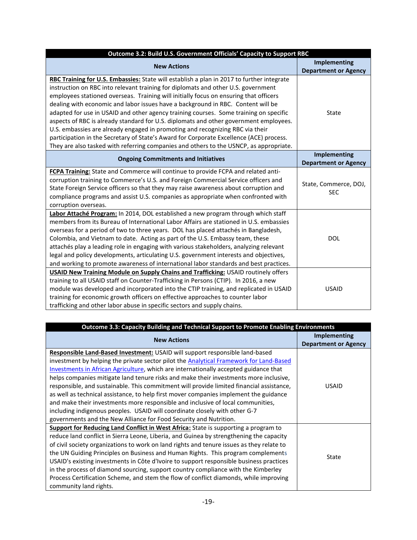| Outcome 3.2: Build U.S. Government Officials' Capacity to Support RBC                                                                                                                                                                                                                                                                                                                                                                                                                                                                                                                                                                                                                                                                                                                                               |                                                    |
|---------------------------------------------------------------------------------------------------------------------------------------------------------------------------------------------------------------------------------------------------------------------------------------------------------------------------------------------------------------------------------------------------------------------------------------------------------------------------------------------------------------------------------------------------------------------------------------------------------------------------------------------------------------------------------------------------------------------------------------------------------------------------------------------------------------------|----------------------------------------------------|
| <b>New Actions</b>                                                                                                                                                                                                                                                                                                                                                                                                                                                                                                                                                                                                                                                                                                                                                                                                  | <b>Implementing</b><br><b>Department or Agency</b> |
| RBC Training for U.S. Embassies: State will establish a plan in 2017 to further integrate<br>instruction on RBC into relevant training for diplomats and other U.S. government<br>employees stationed overseas. Training will initially focus on ensuring that officers<br>dealing with economic and labor issues have a background in RBC. Content will be<br>adapted for use in USAID and other agency training courses. Some training on specific<br>aspects of RBC is already standard for U.S. diplomats and other government employees.<br>U.S. embassies are already engaged in promoting and recognizing RBC via their<br>participation in the Secretary of State's Award for Corporate Excellence (ACE) process.<br>They are also tasked with referring companies and others to the USNCP, as appropriate. | State                                              |
| <b>Ongoing Commitments and Initiatives</b>                                                                                                                                                                                                                                                                                                                                                                                                                                                                                                                                                                                                                                                                                                                                                                          | <b>Implementing</b><br><b>Department or Agency</b> |
| FCPA Training: State and Commerce will continue to provide FCPA and related anti-<br>corruption training to Commerce's U.S. and Foreign Commercial Service officers and<br>State Foreign Service officers so that they may raise awareness about corruption and<br>compliance programs and assist U.S. companies as appropriate when confronted with<br>corruption overseas.                                                                                                                                                                                                                                                                                                                                                                                                                                        | State, Commerce, DOJ,<br><b>SEC</b>                |
| Labor Attaché Program: In 2014, DOL established a new program through which staff<br>members from its Bureau of International Labor Affairs are stationed in U.S. embassies<br>overseas for a period of two to three years. DOL has placed attachés in Bangladesh,<br>Colombia, and Vietnam to date. Acting as part of the U.S. Embassy team, these<br>attachés play a leading role in engaging with various stakeholders, analyzing relevant<br>legal and policy developments, articulating U.S. government interests and objectives,<br>and working to promote awareness of international labor standards and best practices.                                                                                                                                                                                     | <b>DOL</b>                                         |
| <b>USAID New Training Module on Supply Chains and Trafficking: USAID routinely offers</b><br>training to all USAID staff on Counter-Trafficking in Persons (CTIP). In 2016, a new<br>module was developed and incorporated into the CTIP training, and replicated in USAID<br>training for economic growth officers on effective approaches to counter labor<br>trafficking and other labor abuse in specific sectors and supply chains.                                                                                                                                                                                                                                                                                                                                                                            | <b>USAID</b>                                       |

| <b>Outcome 3.3: Capacity Building and Technical Support to Promote Enabling Environments</b>  |                             |
|-----------------------------------------------------------------------------------------------|-----------------------------|
| <b>New Actions</b>                                                                            | Implementing                |
|                                                                                               | <b>Department or Agency</b> |
| Responsible Land-Based Investment: USAID will support responsible land-based                  |                             |
| investment by helping the private sector pilot the <b>Analytical Framework for Land-Based</b> |                             |
| Investments in African Agriculture, which are internationally accepted guidance that          |                             |
| helps companies mitigate land tenure risks and make their investments more inclusive,         |                             |
| responsible, and sustainable. This commitment will provide limited financial assistance,      | <b>USAID</b>                |
| as well as technical assistance, to help first mover companies implement the guidance         |                             |
| and make their investments more responsible and inclusive of local communities,               |                             |
| including indigenous peoples. USAID will coordinate closely with other G-7                    |                             |
| governments and the New Alliance for Food Security and Nutrition.                             |                             |
| Support for Reducing Land Conflict in West Africa: State is supporting a program to           |                             |
| reduce land conflict in Sierra Leone, Liberia, and Guinea by strengthening the capacity       |                             |
| of civil society organizations to work on land rights and tenure issues as they relate to     |                             |
| the UN Guiding Principles on Business and Human Rights. This program complements              | <b>State</b>                |
| USAID's existing investments in Côte d'Ivoire to support responsible business practices       |                             |
| in the process of diamond sourcing, support country compliance with the Kimberley             |                             |
| Process Certification Scheme, and stem the flow of conflict diamonds, while improving         |                             |
| community land rights.                                                                        |                             |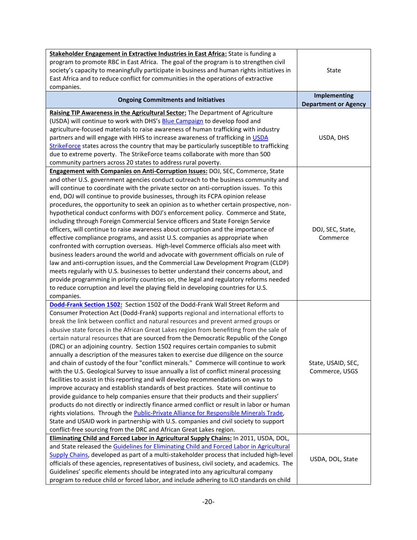| Stakeholder Engagement in Extractive Industries in East Africa: State is funding a<br>program to promote RBC in East Africa. The goal of the program is to strengthen civil<br>society's capacity to meaningfully participate in business and human rights initiatives in<br>East Africa and to reduce conflict for communities in the operations of extractive<br>companies.                                                                                                                                                                                                                                                                                                                                                                                                                                                                                                                                                                                                                                                                                                                                                                                                                                                                                                                                                                                                                                                        | <b>State</b>                                       |
|--------------------------------------------------------------------------------------------------------------------------------------------------------------------------------------------------------------------------------------------------------------------------------------------------------------------------------------------------------------------------------------------------------------------------------------------------------------------------------------------------------------------------------------------------------------------------------------------------------------------------------------------------------------------------------------------------------------------------------------------------------------------------------------------------------------------------------------------------------------------------------------------------------------------------------------------------------------------------------------------------------------------------------------------------------------------------------------------------------------------------------------------------------------------------------------------------------------------------------------------------------------------------------------------------------------------------------------------------------------------------------------------------------------------------------------|----------------------------------------------------|
| <b>Ongoing Commitments and Initiatives</b>                                                                                                                                                                                                                                                                                                                                                                                                                                                                                                                                                                                                                                                                                                                                                                                                                                                                                                                                                                                                                                                                                                                                                                                                                                                                                                                                                                                           | <b>Implementing</b><br><b>Department or Agency</b> |
| Raising TIP Awareness in the Agricultural Sector: The Department of Agriculture<br>(USDA) will continue to work with DHS's Blue Campaign to develop food and<br>agriculture-focused materials to raise awareness of human trafficking with industry<br>partners and will engage with HHS to increase awareness of trafficking in USDA<br>StrikeForce states across the country that may be particularly susceptible to trafficking<br>due to extreme poverty. The StrikeForce teams collaborate with more than 500<br>community partners across 20 states to address rural poverty.                                                                                                                                                                                                                                                                                                                                                                                                                                                                                                                                                                                                                                                                                                                                                                                                                                                  | USDA, DHS                                          |
| <b>Engagement with Companies on Anti-Corruption Issues: DOJ, SEC, Commerce, State</b><br>and other U.S. government agencies conduct outreach to the business community and<br>will continue to coordinate with the private sector on anti-corruption issues. To this<br>end, DOJ will continue to provide businesses, through its FCPA opinion release<br>procedures, the opportunity to seek an opinion as to whether certain prospective, non-<br>hypothetical conduct conforms with DOJ's enforcement policy. Commerce and State,<br>including through Foreign Commercial Service officers and State Foreign Service<br>officers, will continue to raise awareness about corruption and the importance of<br>effective compliance programs, and assist U.S. companies as appropriate when<br>confronted with corruption overseas. High-level Commerce officials also meet with<br>business leaders around the world and advocate with government officials on rule of<br>law and anti-corruption issues, and the Commercial Law Development Program (CLDP)<br>meets regularly with U.S. businesses to better understand their concerns about, and<br>provide programming in priority countries on, the legal and regulatory reforms needed<br>to reduce corruption and level the playing field in developing countries for U.S.<br>companies.                                                                                     | DOJ, SEC, State,<br>Commerce                       |
| Dodd-Frank Section 1502: Section 1502 of the Dodd-Frank Wall Street Reform and<br>Consumer Protection Act (Dodd-Frank) supports regional and international efforts to<br>break the link between conflict and natural resources and prevent armed groups or<br>abusive state forces in the African Great Lakes region from benefiting from the sale of<br>certain natural resources that are sourced from the Democratic Republic of the Congo<br>(DRC) or an adjoining country. Section 1502 requires certain companies to submit<br>annually a description of the measures taken to exercise due diligence on the source<br>and chain of custody of the four "conflict minerals." Commerce will continue to work<br>with the U.S. Geological Survey to issue annually a list of conflict mineral processing<br>facilities to assist in this reporting and will develop recommendations on ways to<br>improve accuracy and establish standards of best practices. State will continue to<br>provide guidance to help companies ensure that their products and their suppliers'<br>products do not directly or indirectly finance armed conflict or result in labor or human<br>rights violations. Through the Public-Private Alliance for Responsible Minerals Trade,<br>State and USAID work in partnership with U.S. companies and civil society to support<br>conflict-free sourcing from the DRC and African Great Lakes region. | State, USAID, SEC,<br>Commerce, USGS               |
| Eliminating Child and Forced Labor in Agricultural Supply Chains: In 2011, USDA, DOL,<br>and State released the Guidelines for Eliminating Child and Forced Labor in Agricultural<br>Supply Chains, developed as part of a multi-stakeholder process that included high-level<br>officials of these agencies, representatives of business, civil society, and academics. The<br>Guidelines' specific elements should be integrated into any agricultural company<br>program to reduce child or forced labor, and include adhering to ILO standards on child                                                                                                                                                                                                                                                                                                                                                                                                                                                                                                                                                                                                                                                                                                                                                                                                                                                                          | USDA, DOL, State                                   |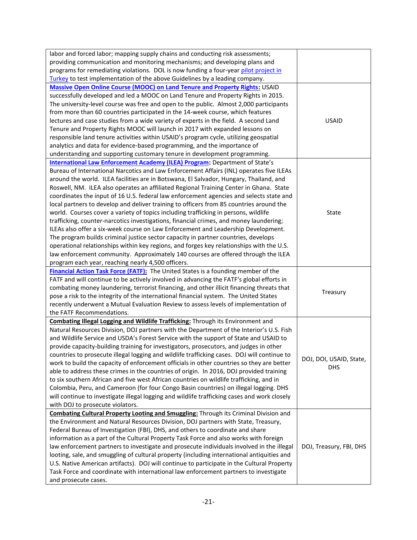| labor and forced labor; mapping supply chains and conducting risk assessments;                                                                                                          |                         |
|-----------------------------------------------------------------------------------------------------------------------------------------------------------------------------------------|-------------------------|
| providing communication and monitoring mechanisms; and developing plans and                                                                                                             |                         |
| programs for remediating violations. DOL is now funding a four-year pilot project in                                                                                                    |                         |
| Turkey to test implementation of the above Guidelines by a leading company.                                                                                                             |                         |
| <b>Massive Open Online Course (MOOC) on Land Tenure and Property Rights: USAID</b>                                                                                                      |                         |
| successfully developed and led a MOOC on Land Tenure and Property Rights in 2015.                                                                                                       |                         |
| The university-level course was free and open to the public. Almost 2,000 participants                                                                                                  |                         |
| from more than 60 countries participated in the 14-week course, which features                                                                                                          |                         |
| lectures and case studies from a wide variety of experts in the field. A second Land                                                                                                    | <b>USAID</b>            |
| Tenure and Property Rights MOOC will launch in 2017 with expanded lessons on                                                                                                            |                         |
| responsible land tenure activities within USAID's program cycle, utilizing geospatial                                                                                                   |                         |
| analytics and data for evidence-based programming, and the importance of                                                                                                                |                         |
| understanding and supporting customary tenure in development programming.                                                                                                               |                         |
| <b>International Law Enforcement Academy (ILEA) Program:</b> Department of State's                                                                                                      |                         |
| Bureau of International Narcotics and Law Enforcement Affairs (INL) operates five ILEAs                                                                                                 |                         |
| around the world. ILEA facilities are in Botswana, El Salvador, Hungary, Thailand, and                                                                                                  |                         |
| Roswell, NM. ILEA also operates an affiliated Regional Training Center in Ghana. State                                                                                                  |                         |
| coordinates the input of 16 U.S. federal law enforcement agencies and selects state and                                                                                                 |                         |
| local partners to develop and deliver training to officers from 85 countries around the                                                                                                 |                         |
| world. Courses cover a variety of topics including trafficking in persons, wildlife                                                                                                     | State                   |
| trafficking, counter-narcotics investigations, financial crimes, and money laundering;                                                                                                  |                         |
| ILEAs also offer a six-week course on Law Enforcement and Leadership Development.                                                                                                       |                         |
| The program builds criminal justice sector capacity in partner countries, develops                                                                                                      |                         |
| operational relationships within key regions, and forges key relationships with the U.S.                                                                                                |                         |
| law enforcement community. Approximately 140 courses are offered through the ILEA                                                                                                       |                         |
| program each year, reaching nearly 4,500 officers.                                                                                                                                      |                         |
| Financial Action Task Force (FATF): The United States is a founding member of the                                                                                                       |                         |
| FATF and will continue to be actively involved in advancing the FATF's global efforts in                                                                                                |                         |
| combating money laundering, terrorist financing, and other illicit financing threats that                                                                                               | Treasury                |
| pose a risk to the integrity of the international financial system. The United States                                                                                                   |                         |
| recently underwent a Mutual Evaluation Review to assess levels of implementation of                                                                                                     |                         |
| the FATF Recommendations.                                                                                                                                                               |                         |
| <b>Combating Illegal Logging and Wildlife Trafficking:</b> Through its Environment and                                                                                                  |                         |
| Natural Resources Division, DOJ partners with the Department of the Interior's U.S. Fish                                                                                                |                         |
| and Wildlife Service and USDA's Forest Service with the support of State and USAID to                                                                                                   |                         |
| provide capacity-building training for investigators, prosecutors, and judges in other                                                                                                  |                         |
| countries to prosecute illegal logging and wildlife trafficking cases. DOJ will continue to                                                                                             | DOJ, DOI, USAID, State, |
| work to build the capacity of enforcement officials in other countries so they are better                                                                                               | <b>DHS</b>              |
| able to address these crimes in the countries of origin. In 2016, DOJ provided training                                                                                                 |                         |
| to six southern African and five west African countries on wildlife trafficking, and in                                                                                                 |                         |
| Colombia, Peru, and Cameroon (for four Congo Basin countries) on illegal logging. DHS<br>will continue to investigate illegal logging and wildlife trafficking cases and work closely   |                         |
| with DOJ to prosecute violators.                                                                                                                                                        |                         |
| <b>Combating Cultural Property Looting and Smuggling: Through its Criminal Division and</b>                                                                                             |                         |
| the Environment and Natural Resources Division, DOJ partners with State, Treasury,                                                                                                      |                         |
| Federal Bureau of Investigation (FBI), DHS, and others to coordinate and share                                                                                                          |                         |
|                                                                                                                                                                                         |                         |
|                                                                                                                                                                                         |                         |
| information as a part of the Cultural Property Task Force and also works with foreign                                                                                                   | DOJ, Treasury, FBI, DHS |
| law enforcement partners to investigate and prosecute individuals involved in the illegal<br>looting, sale, and smuggling of cultural property (including international antiquities and |                         |
| U.S. Native American artifacts). DOJ will continue to participate in the Cultural Property                                                                                              |                         |
| Task Force and coordinate with international law enforcement partners to investigate                                                                                                    |                         |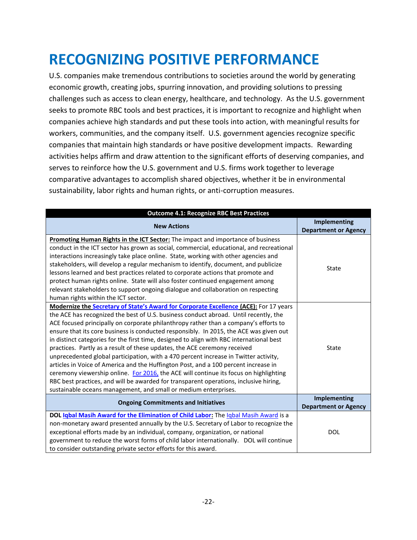## <span id="page-21-0"></span>**RECOGNIZING POSITIVE PERFORMANCE**

U.S. companies make tremendous contributions to societies around the world by generating economic growth, creating jobs, spurring innovation, and providing solutions to pressing challenges such as access to clean energy, healthcare, and technology. As the U.S. government seeks to promote RBC tools and best practices, it is important to recognize and highlight when companies achieve high standards and put these tools into action, with meaningful results for workers, communities, and the company itself. U.S. government agencies recognize specific companies that maintain high standards or have positive development impacts. Rewarding activities helps affirm and draw attention to the significant efforts of deserving companies, and serves to reinforce how the U.S. government and U.S. firms work together to leverage comparative advantages to accomplish shared objectives, whether it be in environmental sustainability, labor rights and human rights, or anti-corruption measures.

| <b>Outcome 4.1: Recognize RBC Best Practices</b>                                                                                                                                                                                                                                                                                                                                                                                                                                                                                                                                                                                                                                                                                                                                                                                                                                                                                                                             |                                                    |  |
|------------------------------------------------------------------------------------------------------------------------------------------------------------------------------------------------------------------------------------------------------------------------------------------------------------------------------------------------------------------------------------------------------------------------------------------------------------------------------------------------------------------------------------------------------------------------------------------------------------------------------------------------------------------------------------------------------------------------------------------------------------------------------------------------------------------------------------------------------------------------------------------------------------------------------------------------------------------------------|----------------------------------------------------|--|
| <b>New Actions</b>                                                                                                                                                                                                                                                                                                                                                                                                                                                                                                                                                                                                                                                                                                                                                                                                                                                                                                                                                           | <b>Implementing</b><br><b>Department or Agency</b> |  |
| Promoting Human Rights in the ICT Sector: The impact and importance of business<br>conduct in the ICT sector has grown as social, commercial, educational, and recreational<br>interactions increasingly take place online. State, working with other agencies and<br>stakeholders, will develop a regular mechanism to identify, document, and publicize<br>lessons learned and best practices related to corporate actions that promote and<br>protect human rights online. State will also foster continued engagement among<br>relevant stakeholders to support ongoing dialogue and collaboration on respecting<br>human rights within the ICT sector.                                                                                                                                                                                                                                                                                                                  | State                                              |  |
| Modernize the Secretary of State's Award for Corporate Excellence (ACE): For 17 years<br>the ACE has recognized the best of U.S. business conduct abroad. Until recently, the<br>ACE focused principally on corporate philanthropy rather than a company's efforts to<br>ensure that its core business is conducted responsibly. In 2015, the ACE was given out<br>in distinct categories for the first time, designed to align with RBC international best<br>practices. Partly as a result of these updates, the ACE ceremony received<br>unprecedented global participation, with a 470 percent increase in Twitter activity,<br>articles in Voice of America and the Huffington Post, and a 100 percent increase in<br>ceremony viewership online. For 2016, the ACE will continue its focus on highlighting<br>RBC best practices, and will be awarded for transparent operations, inclusive hiring,<br>sustainable oceans management, and small or medium enterprises. | State                                              |  |
| <b>Ongoing Commitments and Initiatives</b>                                                                                                                                                                                                                                                                                                                                                                                                                                                                                                                                                                                                                                                                                                                                                                                                                                                                                                                                   | <b>Implementing</b><br><b>Department or Agency</b> |  |
| DOL Igbal Masih Award for the Elimination of Child Labor: The Igbal Masih Award is a<br>non-monetary award presented annually by the U.S. Secretary of Labor to recognize the<br>exceptional efforts made by an individual, company, organization, or national<br>government to reduce the worst forms of child labor internationally.  DOL will continue<br>to consider outstanding private sector efforts for this award.                                                                                                                                                                                                                                                                                                                                                                                                                                                                                                                                                  | <b>DOL</b>                                         |  |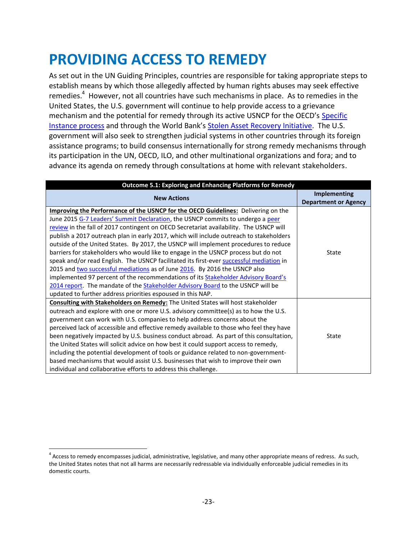## <span id="page-22-0"></span>**PROVIDING ACCESS TO REMEDY**

As set out in the UN Guiding Principles, countries are responsible for taking appropriate steps to establish means by which those allegedly affected by human rights abuses may seek effective remedies.<sup>4</sup> However, not all countries have such mechanisms in place. As to remedies in the United States, the U.S. government will continue to help provide access to a grievance mechanism and the potential for remedy through its active USNCP for the OECD's Specific [Instance process](http://www.state.gov/e/eb/oecd/usncp/specificinstance/) and through the World Bank's [Stolen Asset Recovery Initiative.](http://star.worldbank.org/star/) The U.S. government will also seek to strengthen judicial systems in other countries through its foreign assistance programs; to build consensus internationally for strong remedy mechanisms through its participation in the UN, OECD, ILO, and other multinational organizations and fora; and to advance its agenda on remedy through consultations at home with relevant stakeholders.

| <b>Outcome 5.1: Exploring and Enhancing Platforms for Remedy</b>                                                                                                                                                                                                                                                                                                                                                                                                                                                                                                                                                                                                                                                                                                                                            |                                                    |
|-------------------------------------------------------------------------------------------------------------------------------------------------------------------------------------------------------------------------------------------------------------------------------------------------------------------------------------------------------------------------------------------------------------------------------------------------------------------------------------------------------------------------------------------------------------------------------------------------------------------------------------------------------------------------------------------------------------------------------------------------------------------------------------------------------------|----------------------------------------------------|
| <b>New Actions</b>                                                                                                                                                                                                                                                                                                                                                                                                                                                                                                                                                                                                                                                                                                                                                                                          | <b>Implementing</b><br><b>Department or Agency</b> |
| <b>Improving the Performance of the USNCP for the OECD Guidelines:</b> Delivering on the<br>June 2015 G-7 Leaders' Summit Declaration, the USNCP commits to undergo a peer<br>review in the fall of 2017 contingent on OECD Secretariat availability. The USNCP will<br>publish a 2017 outreach plan in early 2017, which will include outreach to stakeholders<br>outside of the United States. By 2017, the USNCP will implement procedures to reduce<br>barriers for stakeholders who would like to engage in the USNCP process but do not<br>speak and/or read English. The USNCP facilitated its first-ever successful mediation in<br>2015 and two successful mediations as of June 2016. By 2016 the USNCP also<br>implemented 97 percent of the recommendations of its Stakeholder Advisory Board's | State                                              |
| 2014 report. The mandate of the <b>Stakeholder Advisory Board to the USNCP</b> will be<br>updated to further address priorities espoused in this NAP.                                                                                                                                                                                                                                                                                                                                                                                                                                                                                                                                                                                                                                                       |                                                    |
| <b>Consulting with Stakeholders on Remedy:</b> The United States will host stakeholder<br>outreach and explore with one or more U.S. advisory committee(s) as to how the U.S.<br>government can work with U.S. companies to help address concerns about the<br>perceived lack of accessible and effective remedy available to those who feel they have<br>been negatively impacted by U.S. business conduct abroad. As part of this consultation,<br>the United States will solicit advice on how best it could support access to remedy,<br>including the potential development of tools or guidance related to non-government-<br>based mechanisms that would assist U.S. businesses that wish to improve their own<br>individual and collaborative efforts to address this challenge.                    | State                                              |

 $\overline{\phantom{a}}$ <sup>4</sup> Access to remedy encompasses judicial, administrative, legislative, and many other appropriate means of redress. As such, the United States notes that not all harms are necessarily redressable via individually enforceable judicial remedies in its domestic courts.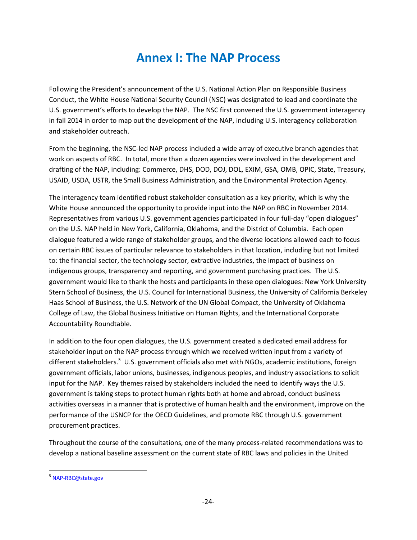### **Annex I: The NAP Process**

<span id="page-23-0"></span>Following the President's announcement of the U.S. National Action Plan on Responsible Business Conduct, the White House National Security Council (NSC) was designated to lead and coordinate the U.S. government's efforts to develop the NAP. The NSC first convened the U.S. government interagency in fall 2014 in order to map out the development of the NAP, including U.S. interagency collaboration and stakeholder outreach.

From the beginning, the NSC-led NAP process included a wide array of executive branch agencies that work on aspects of RBC. In total, more than a dozen agencies were involved in the development and drafting of the NAP, including: Commerce, DHS, DOD, DOJ, DOL, EXIM, GSA, OMB, OPIC, State, Treasury, USAID, USDA, USTR, the Small Business Administration, and the Environmental Protection Agency.

The interagency team identified robust stakeholder consultation as a key priority, which is why the White House announced the opportunity to provide input into the NAP on RBC in November 2014. Representatives from various U.S. government agencies participated in four full-day "open dialogues" on the U.S. NAP held in New York, California, Oklahoma, and the District of Columbia. Each open dialogue featured a wide range of stakeholder groups, and the diverse locations allowed each to focus on certain RBC issues of particular relevance to stakeholders in that location, including but not limited to: the financial sector, the technology sector, extractive industries, the impact of business on indigenous groups, transparency and reporting, and government purchasing practices. The U.S. government would like to thank the hosts and participants in these open dialogues: New York University Stern School of Business, the U.S. Council for International Business, the University of California Berkeley Haas School of Business, the U.S. Network of the UN Global Compact, the University of Oklahoma College of Law, the Global Business Initiative on Human Rights, and the International Corporate Accountability Roundtable.

In addition to the four open dialogues, the U.S. government created a dedicated email address for stakeholder input on the NAP process through which we received written input from a variety of different stakeholders.<sup>5</sup> U.S. government officials also met with NGOs, academic institutions, foreign government officials, labor unions, businesses, indigenous peoples, and industry associations to solicit input for the NAP. Key themes raised by stakeholders included the need to identify ways the U.S. government is taking steps to protect human rights both at home and abroad, conduct business activities overseas in a manner that is protective of human health and the environment, improve on the performance of the USNCP for the OECD Guidelines, and promote RBC through U.S. government procurement practices.

Throughout the course of the consultations, one of the many process-related recommendations was to develop a national baseline assessment on the current state of RBC laws and policies in the United

l

<sup>&</sup>lt;sup>5</sup> [NAP-RBC@state.gov](mailto:NAP-RBC@state.gov)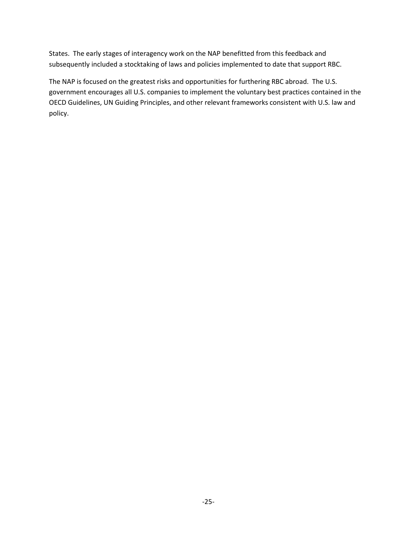States. The early stages of interagency work on the NAP benefitted from this feedback and subsequently included a stocktaking of laws and policies implemented to date that support RBC.

The NAP is focused on the greatest risks and opportunities for furthering RBC abroad. The U.S. government encourages all U.S. companies to implement the voluntary best practices contained in the OECD Guidelines, UN Guiding Principles, and other relevant frameworks consistent with U.S. law and policy.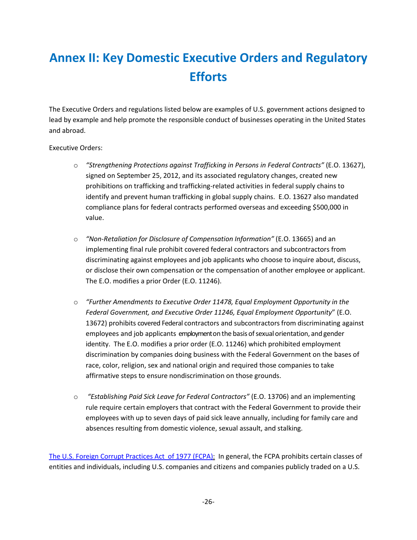### <span id="page-25-0"></span>**Annex II: Key Domestic Executive Orders and Regulatory Efforts**

The Executive Orders and regulations listed below are examples of U.S. government actions designed to lead by example and help promote the responsible conduct of businesses operating in the United States and abroad.

#### Executive Orders:

- o *["Strengthening Protections against Trafficking in Persons in Federal Contracts"](https://www.gpo.gov/fdsys/pkg/FR-2012-10-02/pdf/2012-24374.pdf)* (E.O. 13627), signed on September 25, 2012, and its associated regulatory changes, created new prohibitions on trafficking and trafficking-related activities in federal supply chains to identify and prevent human trafficking in global supply chains. E.O. 13627 also mandated compliance plans for federal contracts performed overseas and exceeding \$500,000 in value.
- o *"Non-Retaliation for Disclosure of Compensation Information"* (E.O. 13665) and an implementing final rule prohibit covered federal contractors and subcontractors from discriminating against employees and job applicants who choose to inquire about, discuss, or disclose their own compensation or the compensation of another employee or applicant. The E.O. modifies a prior Order (E.O. 11246).
- o *"Further Amendments to Executive Order 11478, Equal Employment Opportunity in the Federal Government, and Executive Order 11246, Equal Employment Opportunity*" (E.O. 13672) prohibits covered Federal contractors and subcontractors from discriminating against employees and job applicants employment on the basis of sexual orientation, and gender identity. The E.O. modifies a prior order (E.O. 11246) which prohibited employment discrimination by companies doing business with the Federal Government on the bases of race, color, religion, sex and national origin and required those companies to take affirmative steps to ensure nondiscrimination on those grounds.
- o *"Establishing Paid Sick Leave for Federal Contractors"* (E.O. 13706) and an implementing rule require certain employers that contract with the Federal Government to provide their employees with up to seven days of paid sick leave annually, including for family care and absences resulting from domestic violence, sexual assault, and stalking.

<span id="page-25-1"></span>[The U.S. Foreign Corrupt Practices Act of 1977](http://www.justice.gov/criminal-fraud/foreign-corrupt-practices-act) (FCPA): In general, the FCPA prohibits certain classes of entities and individuals, including U.S. companies and citizens and companies publicly traded on a U.S.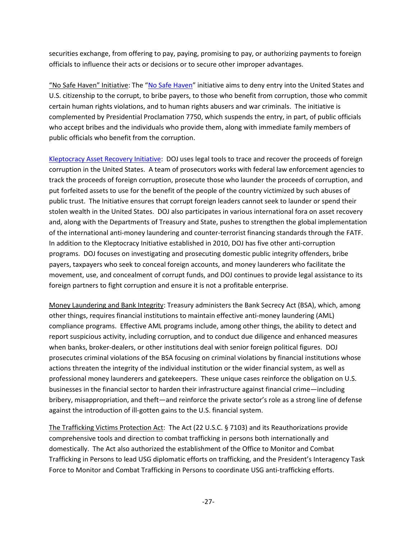securities exchange, from offering to pay, paying, promising to pay, or authorizing payments to foreign officials to influence their acts or decisions or to secure other improper advantages.

"No Safe Haven" Initiative: The "[No Safe Haven](https://www.ice.gov/human-rights-violators-war-crimes-unit)" initiative aims to deny entry into the United States and U.S. citizenship to the corrupt, to bribe payers, to those who benefit from corruption, those who commit certain human rights violations, and to human rights abusers and war criminals. The initiative is complemented by Presidential Proclamation 7750, which suspends the entry, in part, of public officials who accept bribes and the individuals who provide them, along with immediate family members of public officials who benefit from the corruption.

[Kleptocracy Asset Recovery Initiative:](http://www.justice.gov/criminal-afmls) DOJ uses legal tools to trace and recover the proceeds of foreign corruption in the United States. A team of prosecutors works with federal law enforcement agencies to track the proceeds of foreign corruption, prosecute those who launder the proceeds of corruption, and put forfeited assets to use for the benefit of the people of the country victimized by such abuses of public trust. The Initiative ensures that corrupt foreign leaders cannot seek to launder or spend their stolen wealth in the United States. DOJ also participates in various international fora on asset recovery and, along with the Departments of Treasury and State, pushes to strengthen the global implementation of the international anti-money laundering and counter-terrorist financing standards through the FATF. In addition to the Kleptocracy Initiative established in 2010, DOJ has five other anti-corruption programs. DOJ focuses on investigating and prosecuting domestic public integrity offenders, bribe payers, taxpayers who seek to conceal foreign accounts, and money launderers who facilitate the movement, use, and concealment of corrupt funds, and DOJ continues to provide legal assistance to its foreign partners to fight corruption and ensure it is not a profitable enterprise.

Money Laundering and Bank Integrity: Treasury administers the Bank Secrecy Act (BSA), which, among other things, requires financial institutions to maintain effective anti-money laundering (AML) compliance programs. Effective AML programs include, among other things, the ability to detect and report suspicious activity, including corruption, and to conduct due diligence and enhanced measures when banks, broker-dealers, or other institutions deal with senior foreign political figures. DOJ prosecutes criminal violations of the BSA focusing on criminal violations by financial institutions whose actions threaten the integrity of the individual institution or the wider financial system, as well as professional money launderers and gatekeepers. These unique cases reinforce the obligation on U.S. businesses in the financial sector to harden their infrastructure against financial crime—including bribery, misappropriation, and theft—and reinforce the private sector's role as a strong line of defense against the introduction of ill-gotten gains to the U.S. financial system.

The Trafficking Victims Protection Act: The Act (22 U.S.C. § 7103) and its Reauthorizations provide comprehensive tools and direction to combat trafficking in persons both internationally and domestically. The Act also authorized the establishment of the Office to Monitor and Combat Trafficking in Persons to lead USG diplomatic efforts on trafficking, and the President's Interagency Task Force to Monitor and Combat Trafficking in Persons to coordinate USG anti-trafficking efforts.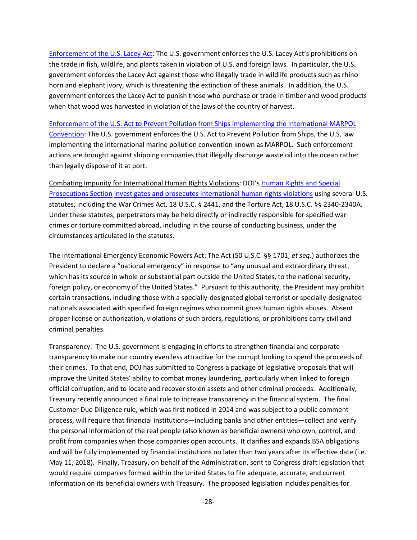[Enforcement of the U.S. Lacey Act](http://www.justice.gov/enrd/prosecution-federal-wildlife-crimes): The U.S. government enforces the U.S. Lacey Act's prohibitions on the trade in fish, wildlife, and plants taken in violation of U.S. and foreign laws. In particular, the U.S. government enforces the Lacey Act against those who illegally trade in wildlife products such as rhino horn and elephant ivory, which is threatening the extinction of these animals. In addition, the U.S. government enforces the Lacey Act to punish those who purchase or trade in timber and wood products when that wood was harvested in violation of the laws of the country of harvest.

#### [Enforcement of the U.S. Act to Prevent Pollution from Ships implementing the International MARPOL](http://www.justice.gov/enrd/vessel-pollution-enforcement)

[Convention:](http://www.justice.gov/enrd/vessel-pollution-enforcement) The U.S. government enforces the U.S. Act to Prevent Pollution from Ships, the U.S. law implementing the international marine pollution convention known as MARPOL. Such enforcement actions are brought against shipping companies that illegally discharge waste oil into the ocean rather than legally dispose of it at port.

Combating Impunity for International Human Rights Violations: DOJ's [Human Rights and Special](https://www.justice.gov/criminal-hrsp/about-hrsp)  [Prosecutions Section](https://www.justice.gov/criminal-hrsp/about-hrsp) [investigates and prosecutes international human rights](https://www.justice.gov/sites/default/files/criminal-hrsp/legacy/2014/03/31/HRSP-Brochure-HRV-Rev-214.pdf) violations using several U.S. statutes, including the War Crimes Act, 18 U.S.C. § 2441, and the Torture Act, 18 U.S.C. §§ 2340-2340A. Under these statutes, perpetrators may be held directly or indirectly responsible for specified war crimes or torture committed abroad, including in the course of conducting business, under the circumstances articulated in the statutes.

The International Emergency Economic Powers Act: The Act (50 U.S.C. §§ 1701, *et seq.*) authorizes the President to declare a "national emergency" in response to "any unusual and extraordinary threat, which has its source in whole or substantial part outside the United States, to the national security, foreign policy, or economy of the United States." Pursuant to this authority, the President may prohibit certain transactions, including those with a specially-designated global terrorist or specially-designated nationals associated with specified foreign regimes who commit gross human rights abuses. Absent proper license or authorization, violations of such orders, regulations, or prohibitions carry civil and criminal penalties.

Transparency: The U.S. government is engaging in efforts to strengthen financial and corporate transparency to make our country even less attractive for the corrupt looking to spend the proceeds of their crimes. To that end, DOJ has submitted to Congress a package of legislative proposals that will improve the United States' ability to combat money laundering, particularly when linked to foreign official corruption, and to locate and recover stolen assets and other criminal proceeds. Additionally, Treasury recently announced a final rule to increase transparency in the financial system. The final Customer Due Diligence rule, which was first noticed in 2014 and was subject to a public comment process, will require that financial institutions—including banks and other entities—collect and verify the personal information of the real people (also known as beneficial owners) who own, control, and profit from companies when those companies open accounts. It clarifies and expands BSA obligations and will be fully implemented by financial institutions no later than two years after its effective date (i.e. May 11, 2018). Finally, Treasury, on behalf of the Administration, sent to Congress draft legislation that would require companies formed within the United States to file adequate, accurate, and current information on its beneficial owners with Treasury. The proposed legislation includes penalties for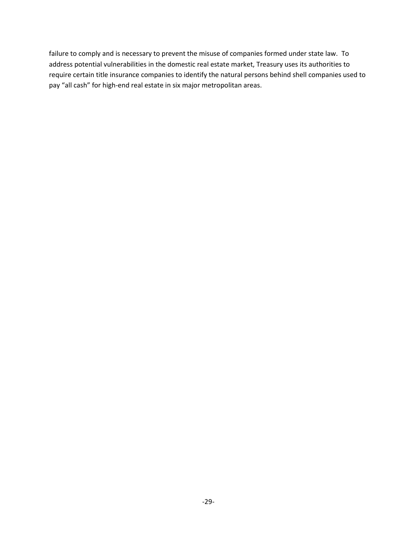failure to comply and is necessary to prevent the misuse of companies formed under state law. To address potential vulnerabilities in the domestic real estate market, Treasury uses its authorities to require certain title insurance companies to identify the natural persons behind shell companies used to pay "all cash" for high-end real estate in six major metropolitan areas.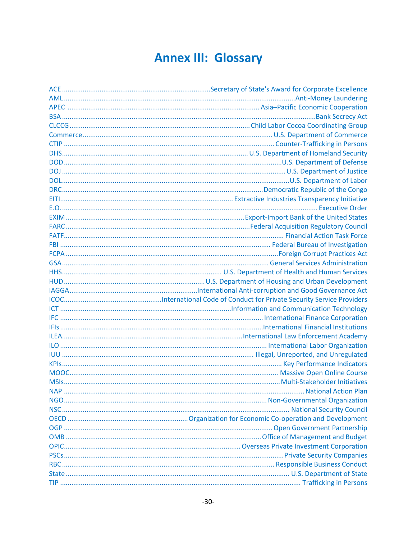### **Annex III: Glossary**

<span id="page-29-0"></span>